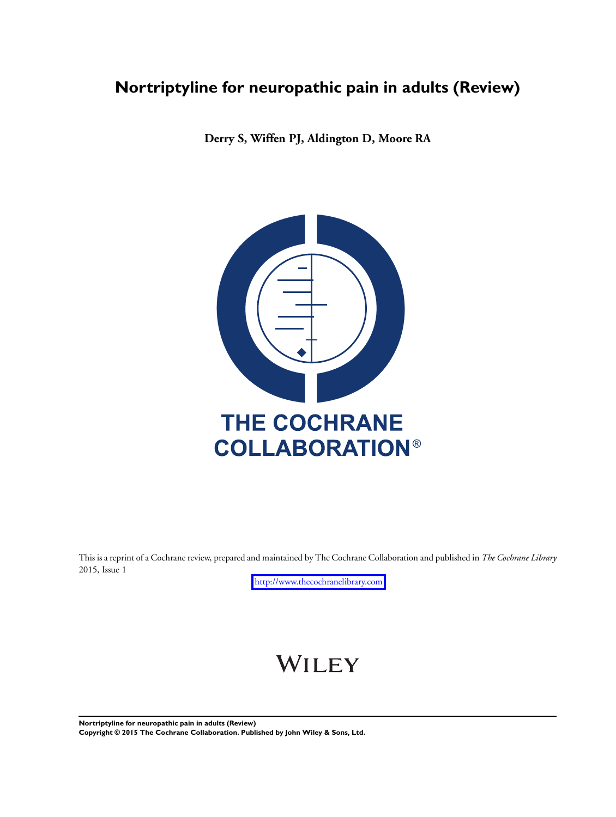# **Nortriptyline for neuropathic pain in adults (Review)**

**Derry S, Wiffen PJ, Aldington D, Moore RA**



This is a reprint of a Cochrane review, prepared and maintained by The Cochrane Collaboration and published in *The Cochrane Library* 2015, Issue 1

<http://www.thecochranelibrary.com>

# WILEY

**Nortriptyline for neuropathic pain in adults (Review) Copyright © 2015 The Cochrane Collaboration. Published by John Wiley & Sons, Ltd.**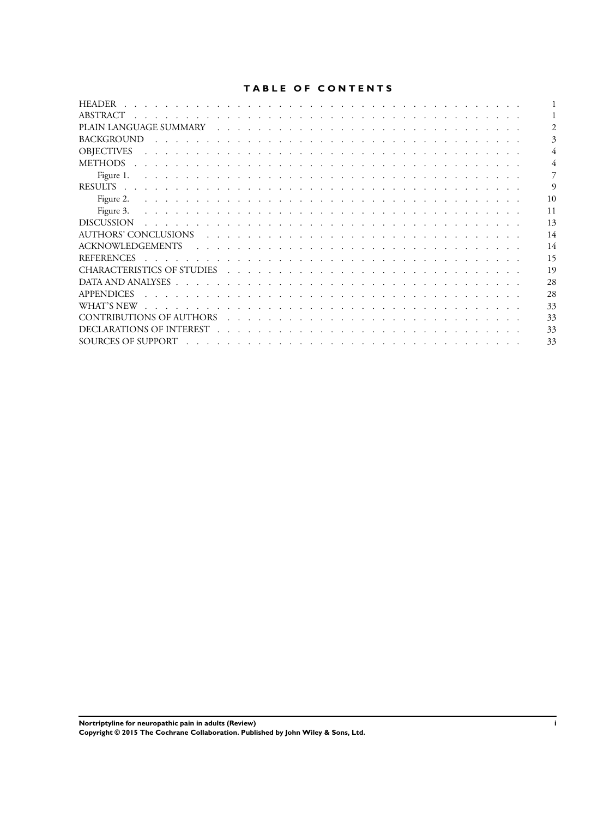# **TABLE OF CONTENTS**

| <b>HEADER</b>                                                                                                                                                                                                                                           |    |
|---------------------------------------------------------------------------------------------------------------------------------------------------------------------------------------------------------------------------------------------------------|----|
| ABSTRACT                                                                                                                                                                                                                                                |    |
| PLAIN LANGUAGE SUMMARY<br>a construction of the construction of the construction of the construction of the construction of the construction of the construction of the construction of the construction of the construction of the construction of the |    |
| <b>BACKGROUND</b><br>a construction of the construction of the construction of the construction of the construction of the construction of the construction of the construction of the construction of the construction of the construction of the      |    |
| <b>OBIECTIVES</b>                                                                                                                                                                                                                                       |    |
| <b>METHODS</b>                                                                                                                                                                                                                                          |    |
| Figure 1.                                                                                                                                                                                                                                               |    |
| <b>RESULTS</b>                                                                                                                                                                                                                                          | 9  |
| Figure 2.<br>a construction of the construction of the construction of the construction of the construction of the construction of the construction of the construction of the construction of the construction of the construction of the              | 10 |
| Figure 3.                                                                                                                                                                                                                                               | 11 |
| <b>DISCUSSION</b>                                                                                                                                                                                                                                       | 13 |
| <b>AUTHORS' CONCLUSIONS</b>                                                                                                                                                                                                                             | 14 |
| <b>ACKNOWLEDGEMENTS</b>                                                                                                                                                                                                                                 | 14 |
| <b>REFERENCES</b><br>a constitution of the constitution of the constitution of the constitution of the constitution of the constitution of the constitution of the constitution of the constitution of the constitution of the constitution of the      | 15 |
|                                                                                                                                                                                                                                                         | 19 |
| DATA AND ANALYSES                                                                                                                                                                                                                                       | 28 |
| <b>APPENDICES</b>                                                                                                                                                                                                                                       | 28 |
| WHAT'S NEW                                                                                                                                                                                                                                              | 33 |
| <b>CONTRIBUTIONS OF AUTHORS</b>                                                                                                                                                                                                                         | 33 |
|                                                                                                                                                                                                                                                         | 33 |
| SOURCES OF SUPPORT<br>and the contract of the contract of the contract of the contract of the contract of the contract of                                                                                                                               | 33 |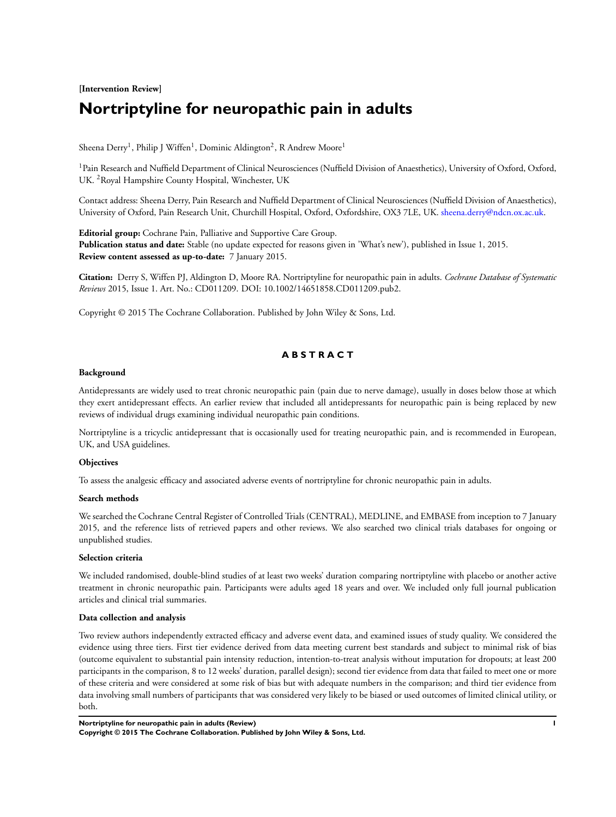## **[Intervention Review]**

# **Nortriptyline for neuropathic pain in adults**

Sheena Derry<sup>1</sup>, Philip J Wiffen<sup>1</sup>, Dominic Aldington<sup>2</sup>, R Andrew Moore<sup>1</sup>

<sup>1</sup>Pain Research and Nuffield Department of Clinical Neurosciences (Nuffield Division of Anaesthetics), University of Oxford, Oxford, UK. <sup>2</sup>Royal Hampshire County Hospital, Winchester, UK

Contact address: Sheena Derry, Pain Research and Nuffield Department of Clinical Neurosciences (Nuffield Division of Anaesthetics), University of Oxford, Pain Research Unit, Churchill Hospital, Oxford, Oxfordshire, OX3 7LE, UK. [sheena.derry@ndcn.ox.ac.uk.](mailto:sheena.derry@ndcn.ox.ac.uk)

**Editorial group:** Cochrane Pain, Palliative and Supportive Care Group. **Publication status and date:** Stable (no update expected for reasons given in 'What's new'), published in Issue 1, 2015. **Review content assessed as up-to-date:** 7 January 2015.

**Citation:** Derry S, Wiffen PJ, Aldington D, Moore RA. Nortriptyline for neuropathic pain in adults. *Cochrane Database of Systematic Reviews* 2015, Issue 1. Art. No.: CD011209. DOI: 10.1002/14651858.CD011209.pub2.

Copyright © 2015 The Cochrane Collaboration. Published by John Wiley & Sons, Ltd.

# **A B S T R A C T**

#### **Background**

Antidepressants are widely used to treat chronic neuropathic pain (pain due to nerve damage), usually in doses below those at which they exert antidepressant effects. An earlier review that included all antidepressants for neuropathic pain is being replaced by new reviews of individual drugs examining individual neuropathic pain conditions.

Nortriptyline is a tricyclic antidepressant that is occasionally used for treating neuropathic pain, and is recommended in European, UK, and USA guidelines.

## **Objectives**

To assess the analgesic efficacy and associated adverse events of nortriptyline for chronic neuropathic pain in adults.

#### **Search methods**

We searched the Cochrane Central Register of Controlled Trials (CENTRAL), MEDLINE, and EMBASE from inception to 7 January 2015, and the reference lists of retrieved papers and other reviews. We also searched two clinical trials databases for ongoing or unpublished studies.

## **Selection criteria**

We included randomised, double-blind studies of at least two weeks' duration comparing nortriptyline with placebo or another active treatment in chronic neuropathic pain. Participants were adults aged 18 years and over. We included only full journal publication articles and clinical trial summaries.

#### **Data collection and analysis**

Two review authors independently extracted efficacy and adverse event data, and examined issues of study quality. We considered the evidence using three tiers. First tier evidence derived from data meeting current best standards and subject to minimal risk of bias (outcome equivalent to substantial pain intensity reduction, intention-to-treat analysis without imputation for dropouts; at least 200 participants in the comparison, 8 to 12 weeks' duration, parallel design); second tier evidence from data that failed to meet one or more of these criteria and were considered at some risk of bias but with adequate numbers in the comparison; and third tier evidence from data involving small numbers of participants that was considered very likely to be biased or used outcomes of limited clinical utility, or both.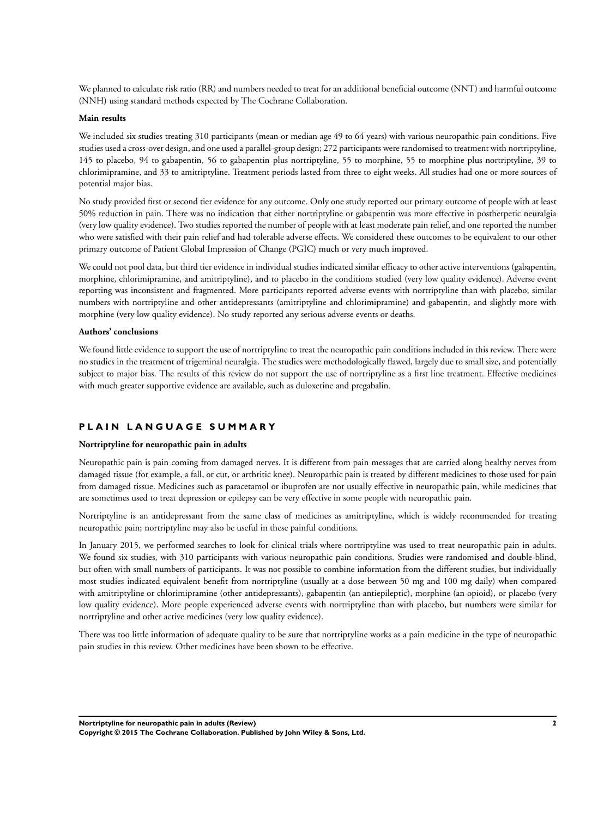We planned to calculate risk ratio (RR) and numbers needed to treat for an additional beneficial outcome (NNT) and harmful outcome (NNH) using standard methods expected by The Cochrane Collaboration.

## **Main results**

We included six studies treating 310 participants (mean or median age 49 to 64 years) with various neuropathic pain conditions. Five studies used a cross-over design, and one used a parallel-group design; 272 participants were randomised to treatment with nortriptyline, 145 to placebo, 94 to gabapentin, 56 to gabapentin plus nortriptyline, 55 to morphine, 55 to morphine plus nortriptyline, 39 to chlorimipramine, and 33 to amitriptyline. Treatment periods lasted from three to eight weeks. All studies had one or more sources of potential major bias.

No study provided first or second tier evidence for any outcome. Only one study reported our primary outcome of people with at least 50% reduction in pain. There was no indication that either nortriptyline or gabapentin was more effective in postherpetic neuralgia (very low quality evidence). Two studies reported the number of people with at least moderate pain relief, and one reported the number who were satisfied with their pain relief and had tolerable adverse effects. We considered these outcomes to be equivalent to our other primary outcome of Patient Global Impression of Change (PGIC) much or very much improved.

We could not pool data, but third tier evidence in individual studies indicated similar efficacy to other active interventions (gabapentin, morphine, chlorimipramine, and amitriptyline), and to placebo in the conditions studied (very low quality evidence). Adverse event reporting was inconsistent and fragmented. More participants reported adverse events with nortriptyline than with placebo, similar numbers with nortriptyline and other antidepressants (amitriptyline and chlorimipramine) and gabapentin, and slightly more with morphine (very low quality evidence). No study reported any serious adverse events or deaths.

## **Authors' conclusions**

We found little evidence to support the use of nortriptyline to treat the neuropathic pain conditions included in this review. There were no studies in the treatment of trigeminal neuralgia. The studies were methodologically flawed, largely due to small size, and potentially subject to major bias. The results of this review do not support the use of nortriptyline as a first line treatment. Effective medicines with much greater supportive evidence are available, such as duloxetine and pregabalin.

## **P L A I N L A N G U A G E S U M M A R Y**

## **Nortriptyline for neuropathic pain in adults**

Neuropathic pain is pain coming from damaged nerves. It is different from pain messages that are carried along healthy nerves from damaged tissue (for example, a fall, or cut, or arthritic knee). Neuropathic pain is treated by different medicines to those used for pain from damaged tissue. Medicines such as paracetamol or ibuprofen are not usually effective in neuropathic pain, while medicines that are sometimes used to treat depression or epilepsy can be very effective in some people with neuropathic pain.

Nortriptyline is an antidepressant from the same class of medicines as amitriptyline, which is widely recommended for treating neuropathic pain; nortriptyline may also be useful in these painful conditions.

In January 2015, we performed searches to look for clinical trials where nortriptyline was used to treat neuropathic pain in adults. We found six studies, with 310 participants with various neuropathic pain conditions. Studies were randomised and double-blind, but often with small numbers of participants. It was not possible to combine information from the different studies, but individually most studies indicated equivalent benefit from nortriptyline (usually at a dose between 50 mg and 100 mg daily) when compared with amitriptyline or chlorimipramine (other antidepressants), gabapentin (an antiepileptic), morphine (an opioid), or placebo (very low quality evidence). More people experienced adverse events with nortriptyline than with placebo, but numbers were similar for nortriptyline and other active medicines (very low quality evidence).

There was too little information of adequate quality to be sure that nortriptyline works as a pain medicine in the type of neuropathic pain studies in this review. Other medicines have been shown to be effective.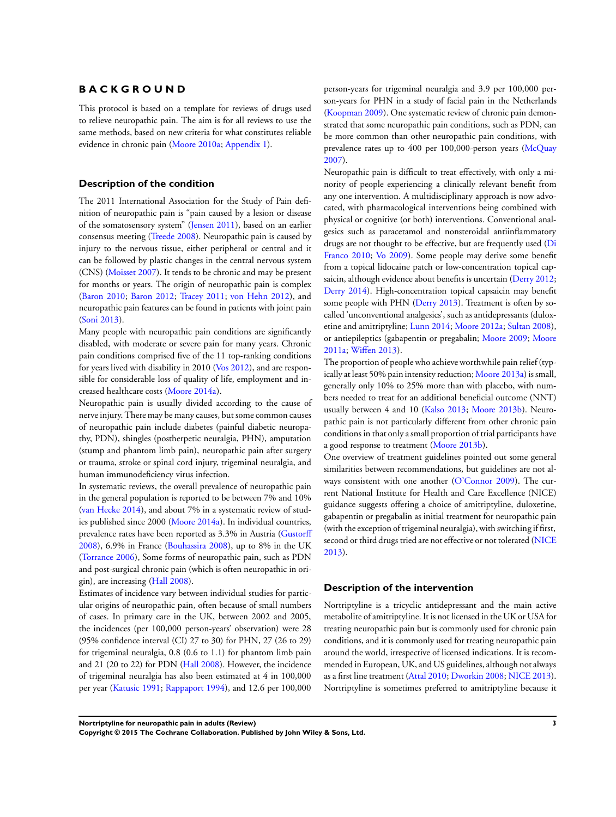## **B A C K G R O U N D**

This protocol is based on a template for reviews of drugs used to relieve neuropathic pain. The aim is for all reviews to use the same methods, based on new criteria for what constitutes reliable evidence in chronic pain [\(Moore 2010a](#page-16-0); [Appendix 1](#page-29-0)).

## **Description of the condition**

The 2011 International Association for the Study of Pain definition of neuropathic pain is "pain caused by a lesion or disease of the somatosensory system" ([Jensen 2011\)](#page-16-0), based on an earlier consensus meeting ([Treede 2008](#page-16-0)). Neuropathic pain is caused by injury to the nervous tissue, either peripheral or central and it can be followed by plastic changes in the central nervous system (CNS) ([Moisset 2007](#page-16-0)). It tends to be chronic and may be present for months or years. The origin of neuropathic pain is complex [\(Baron 2010](#page-16-0); [Baron 2012;](#page-16-0) [Tracey 2011;](#page-16-0) [von Hehn 2012](#page-16-0)), and neuropathic pain features can be found in patients with joint pain [\(Soni 2013](#page-16-0)).

Many people with neuropathic pain conditions are significantly disabled, with moderate or severe pain for many years. Chronic pain conditions comprised five of the 11 top-ranking conditions for years lived with disability in 2010 ([Vos 2012](#page-16-0)), and are responsible for considerable loss of quality of life, employment and increased healthcare costs [\(Moore 2014a](#page-16-0)).

Neuropathic pain is usually divided according to the cause of nerve injury. There may be many causes, but some common causes of neuropathic pain include diabetes (painful diabetic neuropathy, PDN), shingles (postherpetic neuralgia, PHN), amputation (stump and phantom limb pain), neuropathic pain after surgery or trauma, stroke or spinal cord injury, trigeminal neuralgia, and human immunodeficiency virus infection.

In systematic reviews, the overall prevalence of neuropathic pain in the general population is reported to be between 7% and 10% [\(van Hecke 2014](#page-16-0)), and about 7% in a systematic review of studies published since 2000 ([Moore 2014a\)](#page-16-0). In individual countries, prevalence rates have been reported as 3.3% in Austria ([Gustorff](#page-16-0) [2008](#page-16-0)), 6.9% in France [\(Bouhassira 2008](#page-16-0)), up to 8% in the UK [\(Torrance 2006](#page-16-0)), Some forms of neuropathic pain, such as PDN and post-surgical chronic pain (which is often neuropathic in origin), are increasing ([Hall 2008](#page-16-0)).

Estimates of incidence vary between individual studies for particular origins of neuropathic pain, often because of small numbers of cases. In primary care in the UK, between 2002 and 2005, the incidences (per 100,000 person-years' observation) were 28 (95% confidence interval (CI) 27 to 30) for PHN, 27 (26 to 29) for trigeminal neuralgia, 0.8 (0.6 to 1.1) for phantom limb pain and 21 (20 to 22) for PDN ([Hall 2008](#page-16-0)). However, the incidence of trigeminal neuralgia has also been estimated at 4 in 100,000 per year [\(Katusic 1991](#page-16-0); [Rappaport 1994](#page-16-0)), and 12.6 per 100,000

person-years for trigeminal neuralgia and 3.9 per 100,000 person-years for PHN in a study of facial pain in the Netherlands [\(Koopman 2009\)](#page-16-0). One systematic review of chronic pain demonstrated that some neuropathic pain conditions, such as PDN, can be more common than other neuropathic pain conditions, with prevalence rates up to 400 per 100,000-person years [\(McQuay](#page-16-0) [2007](#page-16-0)).

Neuropathic pain is difficult to treat effectively, with only a minority of people experiencing a clinically relevant benefit from any one intervention. A multidisciplinary approach is now advocated, with pharmacological interventions being combined with physical or cognitive (or both) interventions. Conventional analgesics such as paracetamol and nonsteroidal antiinflammatory drugs are not thought to be effective, but are frequently used ([Di](#page-16-0) [Franco 2010](#page-16-0); [Vo 2009](#page-16-0)). Some people may derive some benefit from a topical lidocaine patch or low-concentration topical cap-saicin, although evidence about benefits is uncertain ([Derry 2012;](#page-16-0) [Derry 2014\)](#page-16-0). High-concentration topical capsaicin may benefit some people with PHN ([Derry 2013\)](#page-16-0). Treatment is often by socalled 'unconventional analgesics', such as antidepressants (duloxetine and amitriptyline; [Lunn 2014](#page-16-0); [Moore 2012a;](#page-16-0) [Sultan 2008](#page-16-0)), or antiepileptics (gabapentin or pregabalin; [Moore 2009](#page-16-0); [Moore](#page-16-0) [2011a;](#page-16-0) [Wiffen 2013](#page-16-0)).

The proportion of people who achieve worthwhile pain relief (typically at least 50% pain intensity reduction; [Moore 2013a\)](#page-16-0) is small, generally only 10% to 25% more than with placebo, with numbers needed to treat for an additional beneficial outcome (NNT) usually between 4 and 10 ([Kalso 2013;](#page-16-0) [Moore 2013b\)](#page-16-0). Neuropathic pain is not particularly different from other chronic pain conditions in that only a small proportion of trial participants have a good response to treatment ([Moore 2013b\)](#page-16-0).

One overview of treatment guidelines pointed out some general similarities between recommendations, but guidelines are not al-ways consistent with one another ([O'Connor 2009\)](#page-16-0). The current National Institute for Health and Care Excellence (NICE) guidance suggests offering a choice of amitriptyline, duloxetine, gabapentin or pregabalin as initial treatment for neuropathic pain (with the exception of trigeminal neuralgia), with switching if first, second or third drugs tried are not effective or not tolerated ([NICE](#page-16-0) [2013](#page-16-0)).

#### **Description of the intervention**

Nortriptyline is a tricyclic antidepressant and the main active metabolite of amitriptyline. It is not licensed in the UK or USA for treating neuropathic pain but is commonly used for chronic pain conditions, and it is commonly used for treating neuropathic pain around the world, irrespective of licensed indications. It is recommended in European, UK, and US guidelines, although not always as a first line treatment [\(Attal 2010](#page-16-0); [Dworkin 2008;](#page-16-0) [NICE 2013](#page-16-0)). Nortriptyline is sometimes preferred to amitriptyline because it

**Nortriptyline for neuropathic pain in adults (Review) 3 Copyright © 2015 The Cochrane Collaboration. Published by John Wiley & Sons, Ltd.**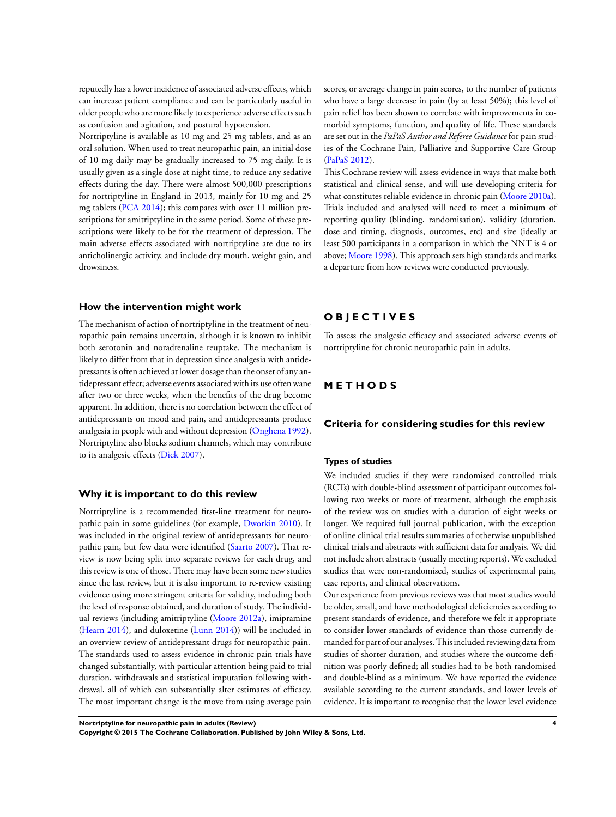reputedly has a lower incidence of associated adverse effects, which can increase patient compliance and can be particularly useful in older people who are more likely to experience adverse effects such as confusion and agitation, and postural hypotension.

Nortriptyline is available as 10 mg and 25 mg tablets, and as an oral solution. When used to treat neuropathic pain, an initial dose of 10 mg daily may be gradually increased to 75 mg daily. It is usually given as a single dose at night time, to reduce any sedative effects during the day. There were almost 500,000 prescriptions for nortriptyline in England in 2013, mainly for 10 mg and 25 mg tablets ([PCA 2014\)](#page-16-0); this compares with over 11 million prescriptions for amitriptyline in the same period. Some of these prescriptions were likely to be for the treatment of depression. The main adverse effects associated with nortriptyline are due to its anticholinergic activity, and include dry mouth, weight gain, and drowsiness.

#### **How the intervention might work**

The mechanism of action of nortriptyline in the treatment of neuropathic pain remains uncertain, although it is known to inhibit both serotonin and noradrenaline reuptake. The mechanism is likely to differ from that in depression since analgesia with antidepressants is often achieved at lower dosage than the onset of any antidepressant effect; adverse events associated with its use often wane after two or three weeks, when the benefits of the drug become apparent. In addition, there is no correlation between the effect of antidepressants on mood and pain, and antidepressants produce analgesia in people with and without depression ([Onghena 1992](#page-16-0)). Nortriptyline also blocks sodium channels, which may contribute to its analgesic effects [\(Dick 2007\)](#page-16-0).

## **Why it is important to do this review**

Nortriptyline is a recommended first-line treatment for neuropathic pain in some guidelines (for example, [Dworkin 2010\)](#page-16-0). It was included in the original review of antidepressants for neuropathic pain, but few data were identified ([Saarto 2007\)](#page-16-0). That review is now being split into separate reviews for each drug, and this review is one of those. There may have been some new studies since the last review, but it is also important to re-review existing evidence using more stringent criteria for validity, including both the level of response obtained, and duration of study. The individual reviews (including amitriptyline ([Moore 2012a\)](#page-16-0), imipramine [\(Hearn 2014\)](#page-16-0), and duloxetine [\(Lunn 2014\)](#page-16-0)) will be included in an overview review of antidepressant drugs for neuropathic pain. The standards used to assess evidence in chronic pain trials have changed substantially, with particular attention being paid to trial duration, withdrawals and statistical imputation following withdrawal, all of which can substantially alter estimates of efficacy. The most important change is the move from using average pain

scores, or average change in pain scores, to the number of patients who have a large decrease in pain (by at least 50%); this level of pain relief has been shown to correlate with improvements in comorbid symptoms, function, and quality of life. These standards are set out in the *PaPaS Author and Referee Guidance* for pain studies of the Cochrane Pain, Palliative and Supportive Care Group [\(PaPaS 2012](#page-16-0)).

This Cochrane review will assess evidence in ways that make both statistical and clinical sense, and will use developing criteria for what constitutes reliable evidence in chronic pain [\(Moore 2010a](#page-16-0)). Trials included and analysed will need to meet a minimum of reporting quality (blinding, randomisation), validity (duration, dose and timing, diagnosis, outcomes, etc) and size (ideally at least 500 participants in a comparison in which the NNT is 4 or above; [Moore 1998\)](#page-16-0). This approach sets high standards and marks a departure from how reviews were conducted previously.

# **O B J E C T I V E S**

To assess the analgesic efficacy and associated adverse events of nortriptyline for chronic neuropathic pain in adults.

# **M E T H O D S**

## **Criteria for considering studies for this review**

## **Types of studies**

We included studies if they were randomised controlled trials (RCTs) with double-blind assessment of participant outcomes following two weeks or more of treatment, although the emphasis of the review was on studies with a duration of eight weeks or longer. We required full journal publication, with the exception of online clinical trial results summaries of otherwise unpublished clinical trials and abstracts with sufficient data for analysis. We did not include short abstracts (usually meeting reports). We excluded studies that were non-randomised, studies of experimental pain, case reports, and clinical observations.

Our experience from previous reviews was that most studies would be older, small, and have methodological deficiencies according to present standards of evidence, and therefore we felt it appropriate to consider lower standards of evidence than those currently demanded for part of our analyses. This included reviewing data from studies of shorter duration, and studies where the outcome definition was poorly defined; all studies had to be both randomised and double-blind as a minimum. We have reported the evidence available according to the current standards, and lower levels of evidence. It is important to recognise that the lower level evidence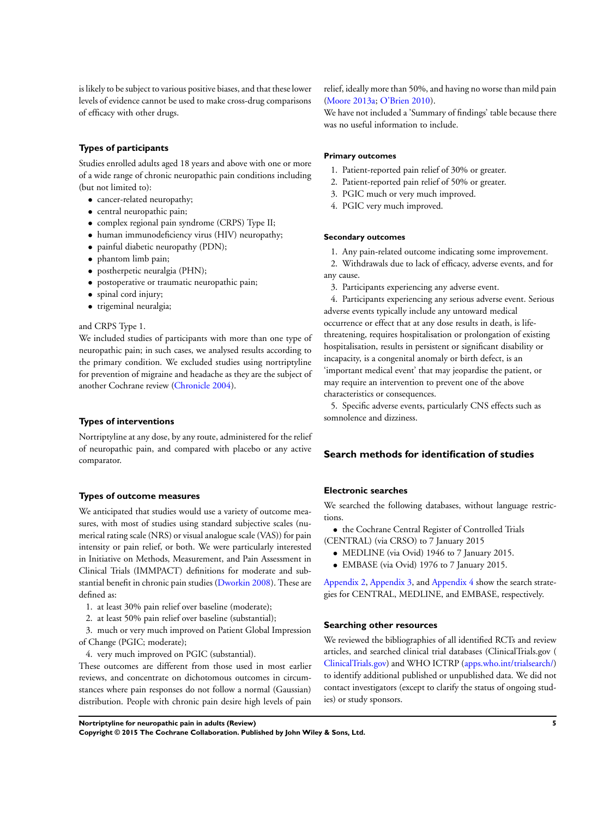is likely to be subject to various positive biases, and that these lower levels of evidence cannot be used to make cross-drug comparisons of efficacy with other drugs.

## **Types of participants**

Studies enrolled adults aged 18 years and above with one or more of a wide range of chronic neuropathic pain conditions including (but not limited to):

- cancer-related neuropathy;
- central neuropathic pain;
- complex regional pain syndrome (CRPS) Type II;
- human immunodeficiency virus (HIV) neuropathy;
- painful diabetic neuropathy (PDN);
- phantom limb pain;
- postherpetic neuralgia (PHN);
- postoperative or traumatic neuropathic pain;
- spinal cord injury;
- trigeminal neuralgia;

## and CRPS Type 1.

We included studies of participants with more than one type of neuropathic pain; in such cases, we analysed results according to the primary condition. We excluded studies using nortriptyline for prevention of migraine and headache as they are the subject of another Cochrane review [\(Chronicle 2004](#page-16-0)).

#### **Types of interventions**

Nortriptyline at any dose, by any route, administered for the relief of neuropathic pain, and compared with placebo or any active comparator.

## **Types of outcome measures**

We anticipated that studies would use a variety of outcome measures, with most of studies using standard subjective scales (numerical rating scale (NRS) or visual analogue scale (VAS)) for pain intensity or pain relief, or both. We were particularly interested in Initiative on Methods, Measurement, and Pain Assessment in Clinical Trials (IMMPACT) definitions for moderate and substantial benefit in chronic pain studies [\(Dworkin 2008\)](#page-16-0). These are defined as:

- 1. at least 30% pain relief over baseline (moderate);
- 2. at least 50% pain relief over baseline (substantial);

3. much or very much improved on Patient Global Impression of Change (PGIC; moderate);

4. very much improved on PGIC (substantial).

These outcomes are different from those used in most earlier reviews, and concentrate on dichotomous outcomes in circumstances where pain responses do not follow a normal (Gaussian) distribution. People with chronic pain desire high levels of pain relief, ideally more than 50%, and having no worse than mild pain [\(Moore 2013a](#page-16-0); [O'Brien 2010](#page-16-0)).

We have not included a 'Summary of findings' table because there was no useful information to include.

## **Primary outcomes**

- 1. Patient-reported pain relief of 30% or greater.
- 2. Patient-reported pain relief of 50% or greater.
- 3. PGIC much or very much improved.
- 4. PGIC very much improved.

## **Secondary outcomes**

1. Any pain-related outcome indicating some improvement.

2. Withdrawals due to lack of efficacy, adverse events, and for any cause.

3. Participants experiencing any adverse event.

4. Participants experiencing any serious adverse event. Serious adverse events typically include any untoward medical occurrence or effect that at any dose results in death, is lifethreatening, requires hospitalisation or prolongation of existing hospitalisation, results in persistent or significant disability or incapacity, is a congenital anomaly or birth defect, is an 'important medical event' that may jeopardise the patient, or may require an intervention to prevent one of the above characteristics or consequences.

5. Specific adverse events, particularly CNS effects such as somnolence and dizziness.

## **Search methods for identification of studies**

# **Electronic searches**

We searched the following databases, without language restrictions.

- the Cochrane Central Register of Controlled Trials
- (CENTRAL) (via CRSO) to 7 January 2015
	- MEDLINE (via Ovid) 1946 to 7 January 2015.
	- EMBASE (via Ovid) 1976 to 7 January 2015.

[Appendix 2,](#page-29-0) [Appendix 3](#page-30-0), and [Appendix 4](#page-30-0) show the search strategies for CENTRAL, MEDLINE, and EMBASE, respectively.

#### **Searching other resources**

We reviewed the bibliographies of all identified RCTs and review articles, and searched clinical trial databases (ClinicalTrials.gov ( [ClinicalTrials.gov\)](http://ClinicalTrials.gov) and WHO ICTRP [\(apps.who.int/trialsearch/](http://apps.who.int/trialsearch/)) to identify additional published or unpublished data. We did not contact investigators (except to clarify the status of ongoing studies) or study sponsors.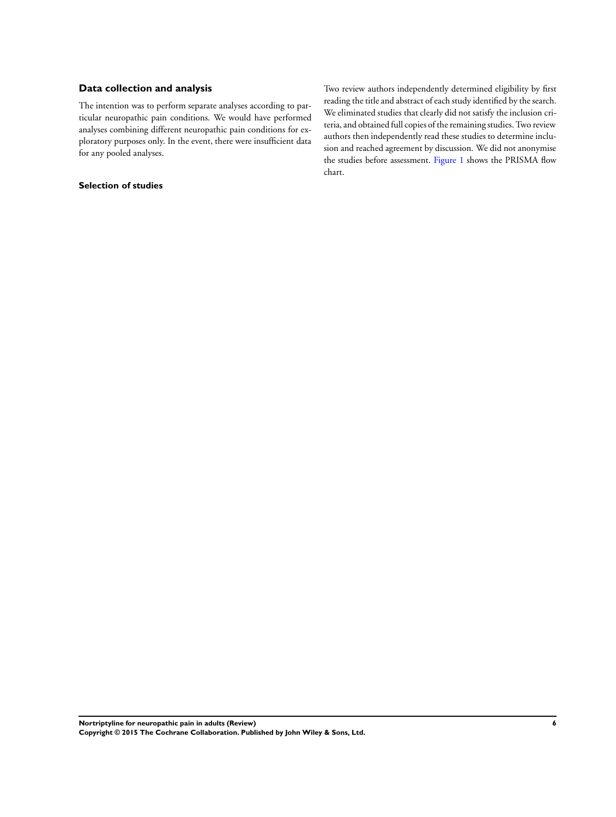## **Data collection and analysis**

The intention was to perform separate analyses according to particular neuropathic pain conditions. We would have performed analyses combining different neuropathic pain conditions for exploratory purposes only. In the event, there were insufficient data for any pooled analyses.

## **Selection of studies**

Two review authors independently determined eligibility by first reading the title and abstract of each study identified by the search. We eliminated studies that clearly did not satisfy the inclusion criteria, and obtained full copies of the remaining studies. Two review authors then independently read these studies to determine inclusion and reached agreement by discussion. We did not anonymise the studies before assessment. [Figure 1](#page-8-0) shows the PRISMA flow chart.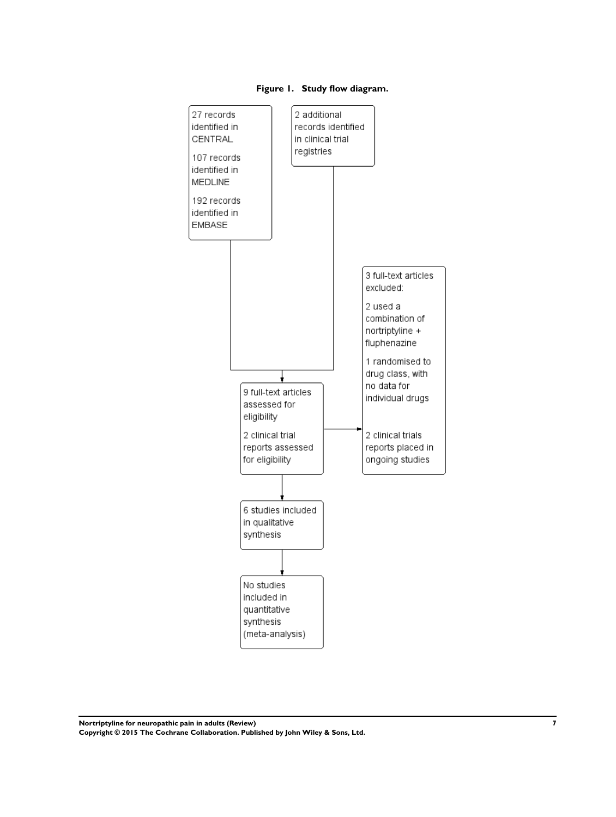<span id="page-8-0"></span>

**Figure 1. Study flow diagram.**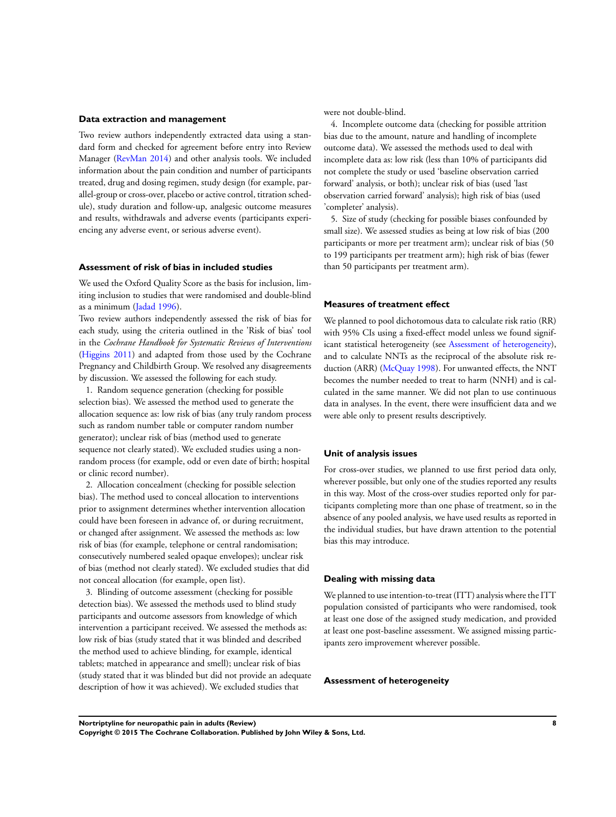#### **Data extraction and management**

Two review authors independently extracted data using a standard form and checked for agreement before entry into Review Manager ([RevMan 2014](#page-16-0)) and other analysis tools. We included information about the pain condition and number of participants treated, drug and dosing regimen, study design (for example, parallel-group or cross-over, placebo or active control, titration schedule), study duration and follow-up, analgesic outcome measures and results, withdrawals and adverse events (participants experiencing any adverse event, or serious adverse event).

#### **Assessment of risk of bias in included studies**

We used the Oxford Quality Score as the basis for inclusion, limiting inclusion to studies that were randomised and double-blind as a minimum [\(Jadad 1996\)](#page-16-0).

Two review authors independently assessed the risk of bias for each study, using the criteria outlined in the 'Risk of bias' tool in the *Cochrane Handbook for Systematic Reviews of Interventions* [\(Higgins 2011\)](#page-16-0) and adapted from those used by the Cochrane Pregnancy and Childbirth Group. We resolved any disagreements by discussion. We assessed the following for each study.

1. Random sequence generation (checking for possible selection bias). We assessed the method used to generate the allocation sequence as: low risk of bias (any truly random process such as random number table or computer random number generator); unclear risk of bias (method used to generate sequence not clearly stated). We excluded studies using a nonrandom process (for example, odd or even date of birth; hospital or clinic record number).

2. Allocation concealment (checking for possible selection bias). The method used to conceal allocation to interventions prior to assignment determines whether intervention allocation could have been foreseen in advance of, or during recruitment, or changed after assignment. We assessed the methods as: low risk of bias (for example, telephone or central randomisation; consecutively numbered sealed opaque envelopes); unclear risk of bias (method not clearly stated). We excluded studies that did not conceal allocation (for example, open list).

3. Blinding of outcome assessment (checking for possible detection bias). We assessed the methods used to blind study participants and outcome assessors from knowledge of which intervention a participant received. We assessed the methods as: low risk of bias (study stated that it was blinded and described the method used to achieve blinding, for example, identical tablets; matched in appearance and smell); unclear risk of bias (study stated that it was blinded but did not provide an adequate description of how it was achieved). We excluded studies that

were not double-blind.

4. Incomplete outcome data (checking for possible attrition bias due to the amount, nature and handling of incomplete outcome data). We assessed the methods used to deal with incomplete data as: low risk (less than 10% of participants did not complete the study or used 'baseline observation carried forward' analysis, or both); unclear risk of bias (used 'last observation carried forward' analysis); high risk of bias (used 'completer' analysis).

5. Size of study (checking for possible biases confounded by small size). We assessed studies as being at low risk of bias (200 participants or more per treatment arm); unclear risk of bias (50 to 199 participants per treatment arm); high risk of bias (fewer than 50 participants per treatment arm).

#### **Measures of treatment effect**

We planned to pool dichotomous data to calculate risk ratio (RR) with 95% CIs using a fixed-effect model unless we found significant statistical heterogeneity (see Assessment of heterogeneity), and to calculate NNTs as the reciprocal of the absolute risk reduction (ARR) [\(McQuay 1998](#page-16-0)). For unwanted effects, the NNT becomes the number needed to treat to harm (NNH) and is calculated in the same manner. We did not plan to use continuous data in analyses. In the event, there were insufficient data and we were able only to present results descriptively.

#### **Unit of analysis issues**

For cross-over studies, we planned to use first period data only, wherever possible, but only one of the studies reported any results in this way. Most of the cross-over studies reported only for participants completing more than one phase of treatment, so in the absence of any pooled analysis, we have used results as reported in the individual studies, but have drawn attention to the potential bias this may introduce.

## **Dealing with missing data**

We planned to use intention-to-treat (ITT) analysis where the ITT population consisted of participants who were randomised, took at least one dose of the assigned study medication, and provided at least one post-baseline assessment. We assigned missing participants zero improvement wherever possible.

#### **Assessment of heterogeneity**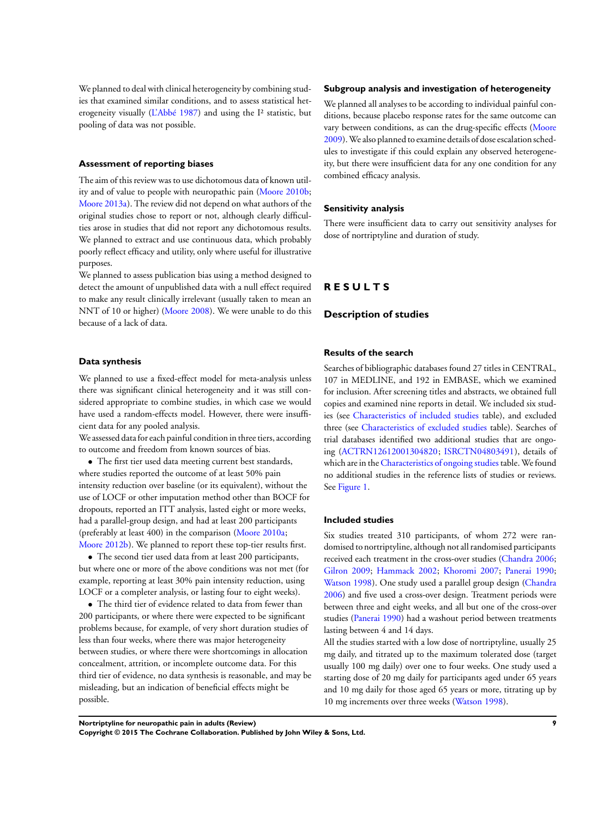We planned to deal with clinical heterogeneity by combining studies that examined similar conditions, and to assess statistical heterogeneity visually ([L'Abbé 1987\)](#page-16-0) and using the I² statistic, but pooling of data was not possible.

## **Assessment of reporting biases**

The aim of this review was to use dichotomous data of known utility and of value to people with neuropathic pain ([Moore 2010b;](#page-16-0) [Moore 2013a\)](#page-16-0). The review did not depend on what authors of the original studies chose to report or not, although clearly difficulties arose in studies that did not report any dichotomous results. We planned to extract and use continuous data, which probably poorly reflect efficacy and utility, only where useful for illustrative purposes.

We planned to assess publication bias using a method designed to detect the amount of unpublished data with a null effect required to make any result clinically irrelevant (usually taken to mean an NNT of 10 or higher) [\(Moore 2008\)](#page-16-0). We were unable to do this because of a lack of data.

#### **Data synthesis**

We planned to use a fixed-effect model for meta-analysis unless there was significant clinical heterogeneity and it was still considered appropriate to combine studies, in which case we would have used a random-effects model. However, there were insufficient data for any pooled analysis.

We assessed data for each painful condition in three tiers, according to outcome and freedom from known sources of bias.

• The first tier used data meeting current best standards, where studies reported the outcome of at least 50% pain intensity reduction over baseline (or its equivalent), without the use of LOCF or other imputation method other than BOCF for dropouts, reported an ITT analysis, lasted eight or more weeks, had a parallel-group design, and had at least 200 participants (preferably at least 400) in the comparison ([Moore 2010a;](#page-16-0) [Moore 2012b](#page-16-0)). We planned to report these top-tier results first.

• The second tier used data from at least 200 participants, but where one or more of the above conditions was not met (for example, reporting at least 30% pain intensity reduction, using LOCF or a completer analysis, or lasting four to eight weeks).

• The third tier of evidence related to data from fewer than 200 participants, or where there were expected to be significant problems because, for example, of very short duration studies of less than four weeks, where there was major heterogeneity between studies, or where there were shortcomings in allocation concealment, attrition, or incomplete outcome data. For this third tier of evidence, no data synthesis is reasonable, and may be misleading, but an indication of beneficial effects might be possible.

#### **Subgroup analysis and investigation of heterogeneity**

We planned all analyses to be according to individual painful conditions, because placebo response rates for the same outcome can vary between conditions, as can the drug-specific effects [\(Moore](#page-16-0) [2009](#page-16-0)).We also planned to examine details of dose escalation schedules to investigate if this could explain any observed heterogeneity, but there were insufficient data for any one condition for any combined efficacy analysis.

#### **Sensitivity analysis**

There were insufficient data to carry out sensitivity analyses for dose of nortriptyline and duration of study.

# **R E S U L T S**

## **Description of studies**

#### **Results of the search**

Searches of bibliographic databases found 27 titles in CENTRAL, 107 in MEDLINE, and 192 in EMBASE, which we examined for inclusion. After screening titles and abstracts, we obtained full copies and examined nine reports in detail. We included six studies (see [Characteristics of included studies](#page-20-0) table), and excluded three (see [Characteristics of excluded studies](#page-26-0) table). Searches of trial databases identified two additional studies that are ongoing [\(ACTRN12612001304820;](#page-16-0) [ISRCTN04803491\)](#page-16-0), details of which are in the [Characteristics of ongoing studies](#page-27-0) table. We found no additional studies in the reference lists of studies or reviews. See [Figure 1.](#page-8-0)

## **Included studies**

Six studies treated 310 participants, of whom 272 were randomised to nortriptyline, although not all randomised participants received each treatment in the cross-over studies [\(Chandra 2006;](#page-16-0) [Gilron 2009](#page-16-0); [Hammack 2002;](#page-16-0) [Khoromi 2007;](#page-16-0) [Panerai 1990;](#page-16-0) [Watson 1998\)](#page-16-0). One study used a parallel group design ([Chandra](#page-16-0) [2006](#page-16-0)) and five used a cross-over design. Treatment periods were between three and eight weeks, and all but one of the cross-over studies [\(Panerai 1990\)](#page-16-0) had a washout period between treatments lasting between 4 and 14 days.

All the studies started with a low dose of nortriptyline, usually 25 mg daily, and titrated up to the maximum tolerated dose (target usually 100 mg daily) over one to four weeks. One study used a starting dose of 20 mg daily for participants aged under 65 years and 10 mg daily for those aged 65 years or more, titrating up by 10 mg increments over three weeks [\(Watson 1998\)](#page-16-0).

**Nortriptyline for neuropathic pain in adults (Review) 9 Copyright © 2015 The Cochrane Collaboration. Published by John Wiley & Sons, Ltd.**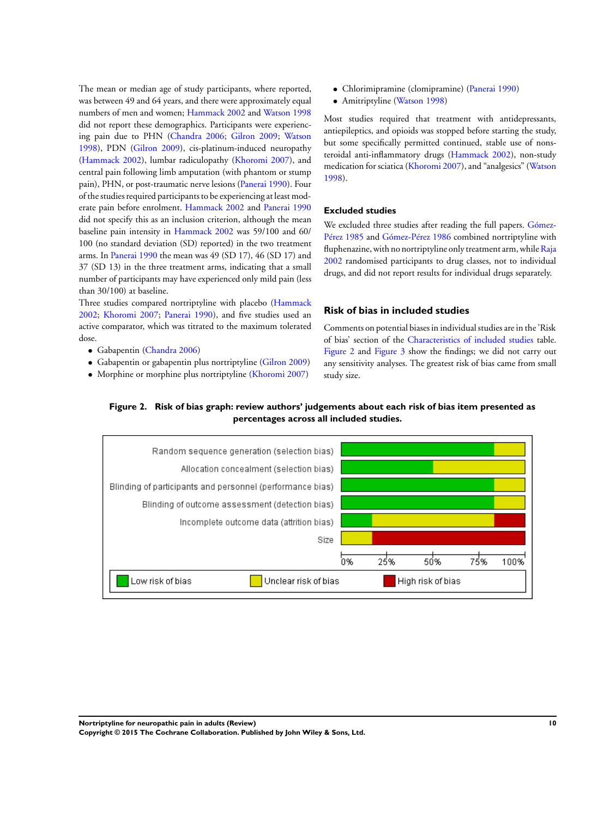The mean or median age of study participants, where reported, was between 49 and 64 years, and there were approximately equal numbers of men and women; [Hammack 2002](#page-16-0) and [Watson 1998](#page-16-0) did not report these demographics. Participants were experiencing pain due to PHN ([Chandra 2006](#page-16-0); [Gilron 2009;](#page-16-0) [Watson](#page-16-0) [1998](#page-16-0)), PDN ([Gilron 2009](#page-16-0)), cis-platinum-induced neuropathy [\(Hammack 2002\)](#page-16-0), lumbar radiculopathy [\(Khoromi 2007\)](#page-16-0), and central pain following limb amputation (with phantom or stump pain), PHN, or post-traumatic nerve lesions [\(Panerai 1990\)](#page-16-0). Four of the studies required participants to be experiencing at least moderate pain before enrolment. [Hammack 2002](#page-16-0) and [Panerai 1990](#page-16-0) did not specify this as an inclusion criterion, although the mean baseline pain intensity in [Hammack 2002](#page-16-0) was 59/100 and 60/ 100 (no standard deviation (SD) reported) in the two treatment arms. In [Panerai 1990](#page-16-0) the mean was 49 (SD 17), 46 (SD 17) and 37 (SD 13) in the three treatment arms, indicating that a small number of participants may have experienced only mild pain (less than 30/100) at baseline.

Three studies compared nortriptyline with placebo ([Hammack](#page-16-0) [2002](#page-16-0); [Khoromi 2007](#page-16-0); [Panerai 1990\)](#page-16-0), and five studies used an active comparator, which was titrated to the maximum tolerated dose.

- Gabapentin [\(Chandra 2006](#page-16-0))
- Gabapentin or gabapentin plus nortriptyline ([Gilron 2009](#page-16-0))
- Morphine or morphine plus nortriptyline ([Khoromi 2007\)](#page-16-0)
- Chlorimipramine (clomipramine) ([Panerai 1990](#page-16-0))
- Amitriptyline [\(Watson 1998\)](#page-16-0)

Most studies required that treatment with antidepressants, antiepileptics, and opioids was stopped before starting the study, but some specifically permitted continued, stable use of nonsteroidal anti-inflammatory drugs ([Hammack 2002](#page-16-0)), non-study medication for sciatica ([Khoromi 2007](#page-16-0)), and "analgesics" ([Watson](#page-16-0) [1998](#page-16-0)).

## **Excluded studies**

We excluded three studies after reading the full papers. [Gómez-](#page-16-0)[Pérez 1985](#page-16-0) and [Gómez-Pérez 1986](#page-16-0) combined nortriptyline with fluphenazine, with no nortriptyline only treatment arm, while [Raja](#page-16-0) [2002](#page-16-0) randomised participants to drug classes, not to individual drugs, and did not report results for individual drugs separately.

## **Risk of bias in included studies**

Comments on potential biases in individual studies are in the 'Risk of bias' section of the [Characteristics of included studies](#page-20-0) table. Figure 2 and [Figure 3](#page-12-0) show the findings; we did not carry out any sensitivity analyses. The greatest risk of bias came from small study size.

# **Figure 2. Risk of bias graph: review authors' judgements about each risk of bias item presented as percentages across all included studies.**

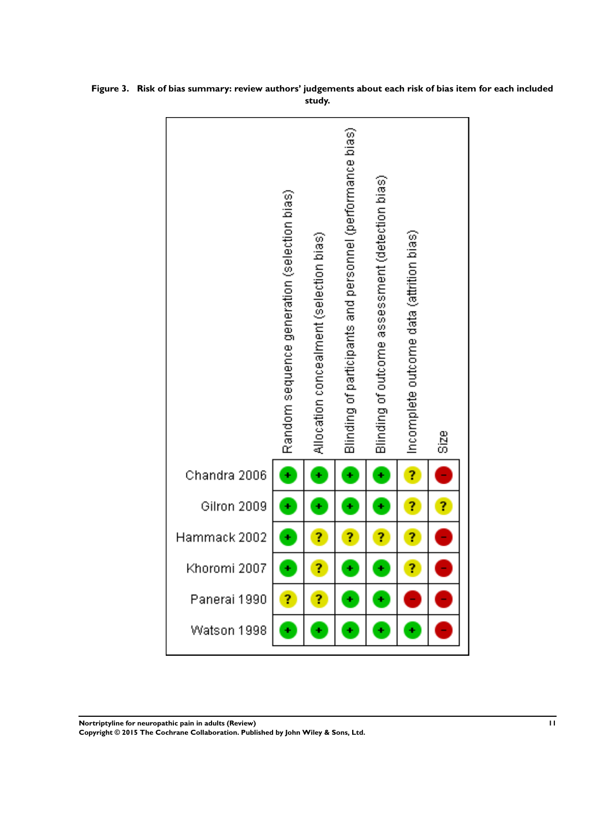

<span id="page-12-0"></span>**Figure 3. Risk of bias summary: review authors' judgements about each risk of bias item for each included study.**

**Nortriptyline for neuropathic pain in adults (Review) 11**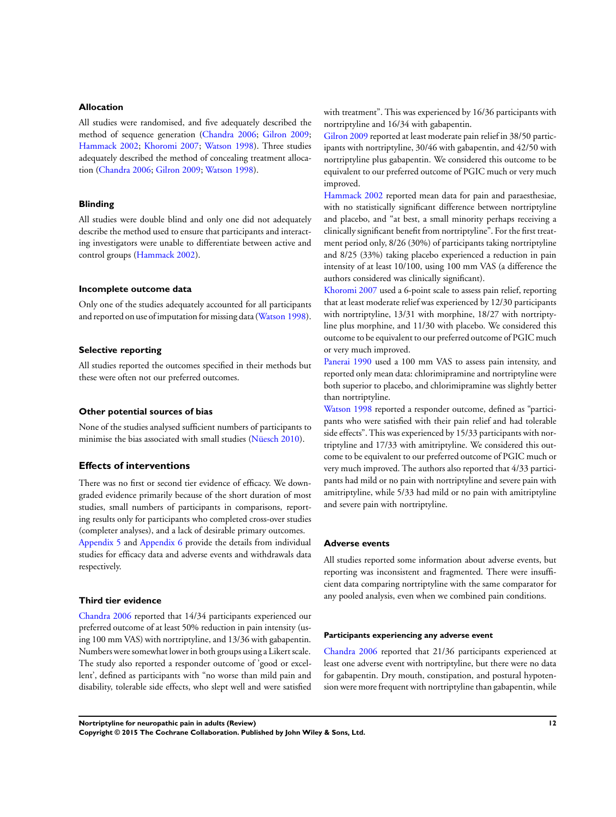## **Allocation**

All studies were randomised, and five adequately described the method of sequence generation ([Chandra 2006](#page-16-0); [Gilron 2009;](#page-16-0) [Hammack 2002](#page-16-0); [Khoromi 2007](#page-16-0); [Watson 1998](#page-16-0)). Three studies adequately described the method of concealing treatment allocation ([Chandra 2006](#page-16-0); [Gilron 2009](#page-16-0); [Watson 1998](#page-16-0)).

## **Blinding**

All studies were double blind and only one did not adequately describe the method used to ensure that participants and interacting investigators were unable to differentiate between active and control groups ([Hammack 2002\)](#page-16-0).

## **Incomplete outcome data**

Only one of the studies adequately accounted for all participants and reported on use of imputation for missing data ([Watson 1998](#page-16-0)).

#### **Selective reporting**

All studies reported the outcomes specified in their methods but these were often not our preferred outcomes.

## **Other potential sources of bias**

None of the studies analysed sufficient numbers of participants to minimise the bias associated with small studies [\(Nüesch 2010\)](#page-16-0).

## **Effects of interventions**

There was no first or second tier evidence of efficacy. We downgraded evidence primarily because of the short duration of most studies, small numbers of participants in comparisons, reporting results only for participants who completed cross-over studies (completer analyses), and a lack of desirable primary outcomes. [Appendix 5](#page-30-0) and [Appendix 6](#page-32-0) provide the details from individual studies for efficacy data and adverse events and withdrawals data respectively.

## **Third tier evidence**

[Chandra 2006](#page-16-0) reported that 14/34 participants experienced our preferred outcome of at least 50% reduction in pain intensity (using 100 mm VAS) with nortriptyline, and 13/36 with gabapentin. Numbers were somewhat lower in both groups using a Likert scale. The study also reported a responder outcome of 'good or excellent', defined as participants with "no worse than mild pain and disability, tolerable side effects, who slept well and were satisfied with treatment". This was experienced by 16/36 participants with nortriptyline and 16/34 with gabapentin.

[Gilron 2009](#page-16-0) reported at least moderate pain relief in 38/50 participants with nortriptyline, 30/46 with gabapentin, and 42/50 with nortriptyline plus gabapentin. We considered this outcome to be equivalent to our preferred outcome of PGIC much or very much improved.

[Hammack 2002](#page-16-0) reported mean data for pain and paraesthesiae, with no statistically significant difference between nortriptyline and placebo, and "at best, a small minority perhaps receiving a clinically significant benefit from nortriptyline". For the first treatment period only, 8/26 (30%) of participants taking nortriptyline and 8/25 (33%) taking placebo experienced a reduction in pain intensity of at least 10/100, using 100 mm VAS (a difference the authors considered was clinically significant).

[Khoromi 2007](#page-16-0) used a 6-point scale to assess pain relief, reporting that at least moderate relief was experienced by 12/30 participants with nortriptyline, 13/31 with morphine, 18/27 with nortriptyline plus morphine, and 11/30 with placebo. We considered this outcome to be equivalent to our preferred outcome of PGIC much or very much improved.

[Panerai 1990](#page-16-0) used a 100 mm VAS to assess pain intensity, and reported only mean data: chlorimipramine and nortriptyline were both superior to placebo, and chlorimipramine was slightly better than nortriptyline.

[Watson 1998](#page-16-0) reported a responder outcome, defined as "participants who were satisfied with their pain relief and had tolerable side effects". This was experienced by 15/33 participants with nortriptyline and 17/33 with amitriptyline. We considered this outcome to be equivalent to our preferred outcome of PGIC much or very much improved. The authors also reported that 4/33 participants had mild or no pain with nortriptyline and severe pain with amitriptyline, while 5/33 had mild or no pain with amitriptyline and severe pain with nortriptyline.

## **Adverse events**

All studies reported some information about adverse events, but reporting was inconsistent and fragmented. There were insufficient data comparing nortriptyline with the same comparator for any pooled analysis, even when we combined pain conditions.

#### **Participants experiencing any adverse event**

[Chandra 2006](#page-16-0) reported that 21/36 participants experienced at least one adverse event with nortriptyline, but there were no data for gabapentin. Dry mouth, constipation, and postural hypotension were more frequent with nortriptyline than gabapentin, while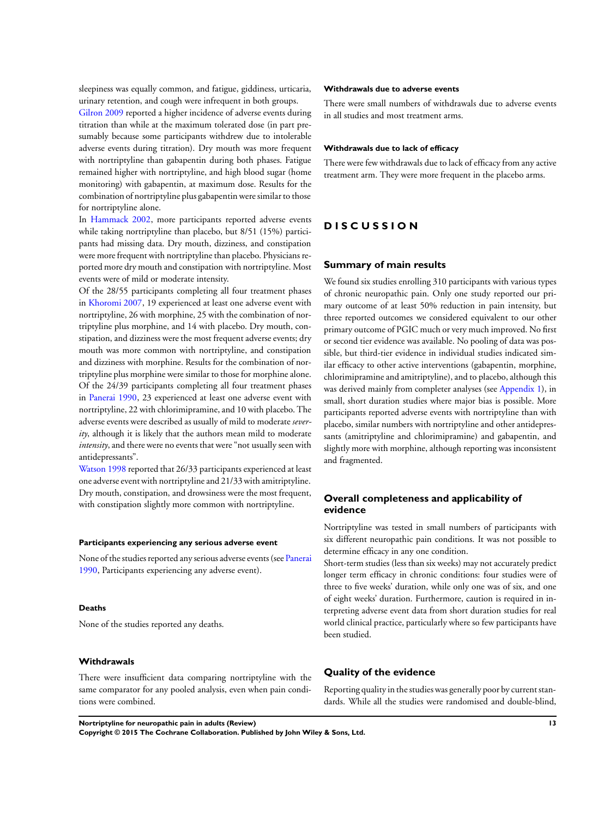sleepiness was equally common, and fatigue, giddiness, urticaria, urinary retention, and cough were infrequent in both groups.

[Gilron 2009](#page-16-0) reported a higher incidence of adverse events during titration than while at the maximum tolerated dose (in part presumably because some participants withdrew due to intolerable adverse events during titration). Dry mouth was more frequent with nortriptyline than gabapentin during both phases. Fatigue remained higher with nortriptyline, and high blood sugar (home monitoring) with gabapentin, at maximum dose. Results for the combination of nortriptyline plus gabapentin were similar to those for nortriptyline alone.

In [Hammack 2002,](#page-16-0) more participants reported adverse events while taking nortriptyline than placebo, but 8/51 (15%) participants had missing data. Dry mouth, dizziness, and constipation were more frequent with nortriptyline than placebo. Physicians reported more dry mouth and constipation with nortriptyline. Most events were of mild or moderate intensity.

Of the 28/55 participants completing all four treatment phases in [Khoromi 2007,](#page-16-0) 19 experienced at least one adverse event with nortriptyline, 26 with morphine, 25 with the combination of nortriptyline plus morphine, and 14 with placebo. Dry mouth, constipation, and dizziness were the most frequent adverse events; dry mouth was more common with nortriptyline, and constipation and dizziness with morphine. Results for the combination of nortriptyline plus morphine were similar to those for morphine alone. Of the 24/39 participants completing all four treatment phases in [Panerai 1990](#page-16-0), 23 experienced at least one adverse event with nortriptyline, 22 with chlorimipramine, and 10 with placebo. The adverse events were described as usually of mild to moderate *severity*, although it is likely that the authors mean mild to moderate *intensity*, and there were no events that were "not usually seen with antidepressants".

[Watson 1998](#page-16-0) reported that 26/33 participants experienced at least one adverse event with nortriptyline and 21/33 with amitriptyline. Dry mouth, constipation, and drowsiness were the most frequent, with constipation slightly more common with nortriptyline.

#### **Participants experiencing any serious adverse event**

None of the studies reported any serious adverse events (see [Panerai](#page-16-0) [1990](#page-16-0), Participants experiencing any adverse event).

## **Deaths**

None of the studies reported any deaths.

## **Withdrawals**

There were insufficient data comparing nortriptyline with the same comparator for any pooled analysis, even when pain conditions were combined.

#### **Withdrawals due to adverse events**

There were small numbers of withdrawals due to adverse events in all studies and most treatment arms.

#### **Withdrawals due to lack of efficacy**

There were few withdrawals due to lack of efficacy from any active treatment arm. They were more frequent in the placebo arms.

# **D I S C U S S I O N**

## **Summary of main results**

We found six studies enrolling 310 participants with various types of chronic neuropathic pain. Only one study reported our primary outcome of at least 50% reduction in pain intensity, but three reported outcomes we considered equivalent to our other primary outcome of PGIC much or very much improved. No first or second tier evidence was available. No pooling of data was possible, but third-tier evidence in individual studies indicated similar efficacy to other active interventions (gabapentin, morphine, chlorimipramine and amitriptyline), and to placebo, although this was derived mainly from completer analyses (see [Appendix 1\)](#page-29-0), in small, short duration studies where major bias is possible. More participants reported adverse events with nortriptyline than with placebo, similar numbers with nortriptyline and other antidepressants (amitriptyline and chlorimipramine) and gabapentin, and slightly more with morphine, although reporting was inconsistent and fragmented.

# **Overall completeness and applicability of evidence**

Nortriptyline was tested in small numbers of participants with six different neuropathic pain conditions. It was not possible to determine efficacy in any one condition.

Short-term studies (less than six weeks) may not accurately predict longer term efficacy in chronic conditions: four studies were of three to five weeks' duration, while only one was of six, and one of eight weeks' duration. Furthermore, caution is required in interpreting adverse event data from short duration studies for real world clinical practice, particularly where so few participants have been studied.

## **Quality of the evidence**

Reporting quality in the studies was generally poor by current standards. While all the studies were randomised and double-blind,

**Nortriptyline for neuropathic pain in adults (Review) 13**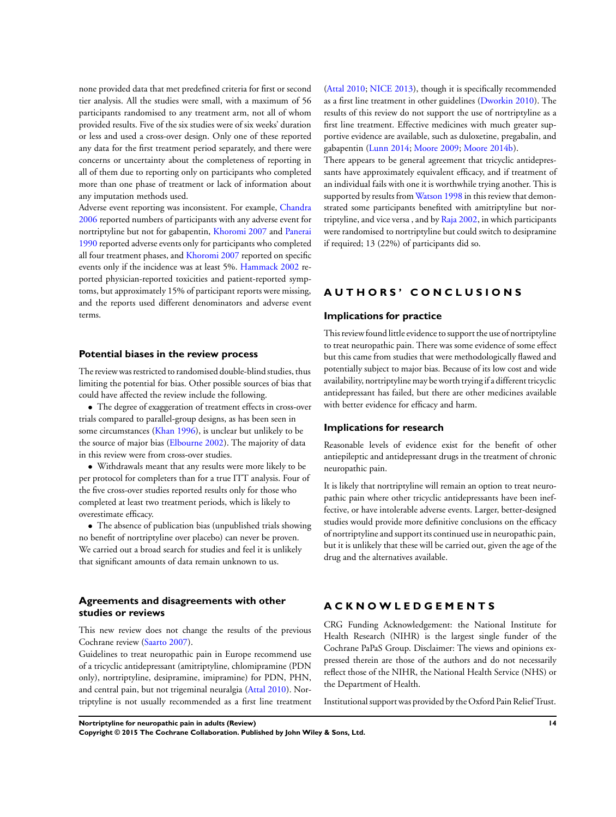none provided data that met predefined criteria for first or second tier analysis. All the studies were small, with a maximum of 56 participants randomised to any treatment arm, not all of whom provided results. Five of the six studies were of six weeks' duration or less and used a cross-over design. Only one of these reported any data for the first treatment period separately, and there were concerns or uncertainty about the completeness of reporting in all of them due to reporting only on participants who completed more than one phase of treatment or lack of information about any imputation methods used.

Adverse event reporting was inconsistent. For example, [Chandra](#page-16-0) [2006](#page-16-0) reported numbers of participants with any adverse event for nortriptyline but not for gabapentin, [Khoromi 2007](#page-16-0) and [Panerai](#page-16-0) [1990](#page-16-0) reported adverse events only for participants who completed all four treatment phases, and [Khoromi 2007](#page-16-0) reported on specific events only if the incidence was at least 5%. [Hammack 2002](#page-16-0) reported physician-reported toxicities and patient-reported symptoms, but approximately 15% of participant reports were missing, and the reports used different denominators and adverse event terms.

## **Potential biases in the review process**

The review was restricted to randomised double-blind studies, thus limiting the potential for bias. Other possible sources of bias that could have affected the review include the following.

• The degree of exaggeration of treatment effects in cross-over trials compared to parallel-group designs, as has been seen in some circumstances ([Khan 1996](#page-16-0)), is unclear but unlikely to be the source of major bias ([Elbourne 2002](#page-16-0)). The majority of data in this review were from cross-over studies.

• Withdrawals meant that any results were more likely to be per protocol for completers than for a true ITT analysis. Four of the five cross-over studies reported results only for those who completed at least two treatment periods, which is likely to overestimate efficacy.

• The absence of publication bias (unpublished trials showing no benefit of nortriptyline over placebo) can never be proven. We carried out a broad search for studies and feel it is unlikely that significant amounts of data remain unknown to us.

# **Agreements and disagreements with other studies or reviews**

This new review does not change the results of the previous Cochrane review ([Saarto 2007\)](#page-16-0).

Guidelines to treat neuropathic pain in Europe recommend use of a tricyclic antidepressant (amitriptyline, chlomipramine (PDN only), nortriptyline, desipramine, imipramine) for PDN, PHN, and central pain, but not trigeminal neuralgia ([Attal 2010\)](#page-16-0). Nortriptyline is not usually recommended as a first line treatment [\(Attal 2010](#page-16-0); [NICE 2013\)](#page-16-0), though it is specifically recommended as a first line treatment in other guidelines ([Dworkin 2010\)](#page-16-0). The results of this review do not support the use of nortriptyline as a first line treatment. Effective medicines with much greater supportive evidence are available, such as duloxetine, pregabalin, and gabapentin ([Lunn 2014](#page-16-0); [Moore 2009](#page-16-0); [Moore 2014b](#page-16-0)).

There appears to be general agreement that tricyclic antidepressants have approximately equivalent efficacy, and if treatment of an individual fails with one it is worthwhile trying another. This is supported by results from [Watson 1998](#page-16-0) in this review that demonstrated some participants benefited with amitriptyline but nortriptyline, and vice versa , and by [Raja 2002,](#page-16-0) in which participants were randomised to nortriptyline but could switch to desipramine if required; 13 (22%) of participants did so.

# **A U T H O R S ' C O N C L U S I O N S**

## **Implications for practice**

This review found little evidence to support the use of nortriptyline to treat neuropathic pain. There was some evidence of some effect but this came from studies that were methodologically flawed and potentially subject to major bias. Because of its low cost and wide availability, nortriptyline may be worth trying if a different tricyclic antidepressant has failed, but there are other medicines available with better evidence for efficacy and harm.

## **Implications for research**

Reasonable levels of evidence exist for the benefit of other antiepileptic and antidepressant drugs in the treatment of chronic neuropathic pain.

It is likely that nortriptyline will remain an option to treat neuropathic pain where other tricyclic antidepressants have been ineffective, or have intolerable adverse events. Larger, better-designed studies would provide more definitive conclusions on the efficacy of nortriptyline and support its continued use in neuropathic pain, but it is unlikely that these will be carried out, given the age of the drug and the alternatives available.

# **A C K N O W L E D G E M E N T S**

CRG Funding Acknowledgement: the National Institute for Health Research (NIHR) is the largest single funder of the Cochrane PaPaS Group. Disclaimer: The views and opinions expressed therein are those of the authors and do not necessarily reflect those of the NIHR, the National Health Service (NHS) or the Department of Health.

Institutional support was provided by the Oxford Pain Relief Trust.

**Nortriptyline for neuropathic pain in adults (Review) 14**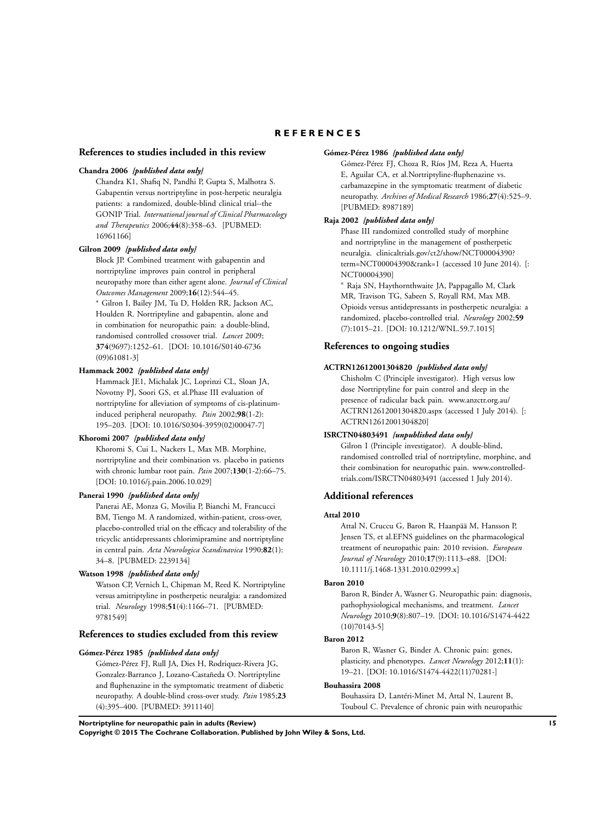# **R E F E R E N C E S**

#### <span id="page-16-0"></span>**References to studies included in this review**

#### **Chandra 2006** *{published data only}*

Chandra K1, Shafiq N, Pandhi P, Gupta S, Malhotra S. Gabapentin versus nortriptyline in post-herpetic neuralgia patients: a randomized, double-blind clinical trial--the GONIP Trial. *International journal of Clinical Pharmacology and Therapeutics* 2006;**44**(8):358–63. [PUBMED: 16961166]

#### **Gilron 2009** *{published data only}*

Block JP. Combined treatment with gabapentin and nortriptyline improves pain control in peripheral neuropathy more than either agent alone. *Journal of Clinical Outcomes Management* 2009;**16**(12):544–45. <sup>∗</sup> Gilron I, Bailey JM, Tu D, Holden RR, Jackson AC,

Houlden R. Nortriptyline and gabapentin, alone and in combination for neuropathic pain: a double-blind, randomised controlled crossover trial. *Lancet* 2009; **374**(9697):1252–61. [DOI: 10.1016/S0140-6736 (09)61081-3]

## **Hammack 2002** *{published data only}*

Hammack JE1, Michalak JC, Loprinzi CL, Sloan JA, Novotny PJ, Soori GS, et al.Phase III evaluation of nortriptyline for alleviation of symptoms of cis-platinuminduced peripheral neuropathy. *Pain* 2002;**98**(1-2): 195–203. [DOI: 10.1016/S0304-3959(02)00047-7]

## **Khoromi 2007** *{published data only}*

Khoromi S, Cui L, Nackers L, Max MB. Morphine, nortriptyline and their combination vs. placebo in patients with chronic lumbar root pain. *Pain* 2007;**130**(1-2):66–75. [DOI: 10.1016/j.pain.2006.10.029]

#### **Panerai 1990** *{published data only}*

Panerai AE, Monza G, Movilia P, Bianchi M, Francucci BM, Tiengo M. A randomized, within-patient, cross-over, placebo-controlled trial on the efficacy and tolerability of the tricyclic antidepressants chlorimipramine and nortriptyline in central pain. *Acta Neurologica Scandinavica* 1990;**82**(1): 34–8. [PUBMED: 2239134]

## **Watson 1998** *{published data only}*

Watson CP, Vernich L, Chipman M, Reed K. Nortriptyline versus amitriptyline in postherpetic neuralgia: a randomized trial. *Neurology* 1998;**51**(4):1166–71. [PUBMED: 9781549]

## **References to studies excluded from this review**

#### **Gómez-Pérez 1985** *{published data only}*

Gómez-Pérez FJ, Rull JA, Dies H, Rodriquez-Rivera JG, Gonzalez-Barranco J, Lozano-Castañeda O. Nortriptyline and fluphenazine in the symptomatic treatment of diabetic neuropathy. A double-blind cross-over study. *Pain* 1985;**23** (4):395–400. [PUBMED: 3911140]

## **Gómez-Pérez 1986** *{published data only}*

Gómez-Pérez FJ, Choza R, Ríos JM, Reza A, Huerta E, Aguilar CA, et al.Nortriptyline-fluphenazine vs. carbamazepine in the symptomatic treatment of diabetic neuropathy. *Archives of Medical Research* 1986;**27**(4):525–9. [PUBMED: 8987189]

## **Raja 2002** *{published data only}*

Phase III randomized controlled study of morphine and nortriptyline in the management of postherpetic neuralgia. clinicaltrials.gov/ct2/show/NCT00004390? term=NCT00004390&rank=1 (accessed 10 June 2014). [: NCT00004390]

<sup>∗</sup> Raja SN, Haythornthwaite JA, Pappagallo M, Clark MR, Travison TG, Sabeen S, Royall RM, Max MB. Opioids versus antidepressants in postherpetic neuralgia: a randomized, placebo-controlled trial. *Neurology* 2002;**59** (7):1015–21. [DOI: 10.1212/WNL.59.7.1015]

## **References to ongoing studies**

#### **ACTRN12612001304820** *{published data only}*

Chisholm C (Principle investigator). High versus low dose Nortriptyline for pain control and sleep in the presence of radicular back pain. www.anzctr.org.au/ ACTRN12612001304820.aspx (accessed 1 July 2014). [: ACTRN12612001304820]

#### **ISRCTN04803491** *{unpublished data only}*

Gilron I (Principle investigator). A double-blind, randomised controlled trial of nortriptyline, morphine, and their combination for neuropathic pain. www.controlledtrials.com/ISRCTN04803491 (accessed 1 July 2014).

## **Additional references**

#### **Attal 2010**

Attal N, Cruccu G, Baron R, Haanpää M, Hansson P, Jensen TS, et al.EFNS guidelines on the pharmacological treatment of neuropathic pain: 2010 revision. *European Journal of Neurology* 2010;**17**(9):1113–e88. [DOI: 10.1111/j.1468-1331.2010.02999.x]

#### **Baron 2010**

Baron R, Binder A, Wasner G. Neuropathic pain: diagnosis, pathophysiological mechanisms, and treatment. *Lancet Neurology* 2010;**9**(8):807–19. [DOI: 10.1016/S1474-4422 (10)70143-5]

#### **Baron 2012**

Baron R, Wasner G, Binder A. Chronic pain: genes, plasticity, and phenotypes. *Lancet Neurology* 2012;**11**(1): 19–21. [DOI: 10.1016/S1474-4422(11)70281-]

## **Bouhassira 2008**

Bouhassira D, Lantéri-Minet M, Attal N, Laurent B, Touboul C. Prevalence of chronic pain with neuropathic

**Nortriptyline for neuropathic pain in adults (Review) 15**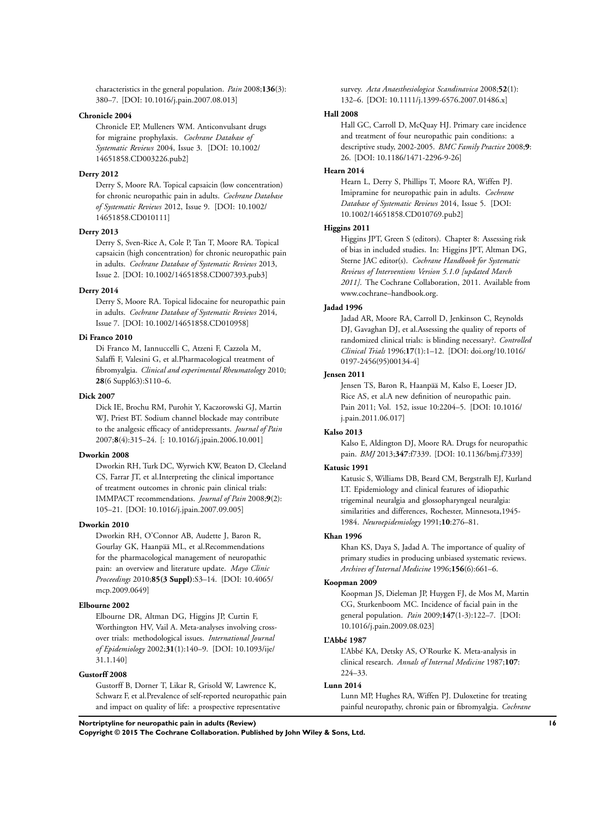characteristics in the general population. *Pain* 2008;**136**(3): 380–7. [DOI: 10.1016/j.pain.2007.08.013]

#### **Chronicle 2004**

Chronicle EP, Mulleners WM. Anticonvulsant drugs for migraine prophylaxis. *Cochrane Database of Systematic Reviews* 2004, Issue 3. [DOI: 10.1002/ 14651858.CD003226.pub2]

## **Derry 2012**

Derry S, Moore RA. Topical capsaicin (low concentration) for chronic neuropathic pain in adults. *Cochrane Database of Systematic Reviews* 2012, Issue 9. [DOI: 10.1002/ 14651858.CD010111]

## **Derry 2013**

Derry S, Sven-Rice A, Cole P, Tan T, Moore RA. Topical capsaicin (high concentration) for chronic neuropathic pain in adults. *Cochrane Database of Systematic Reviews* 2013, Issue 2. [DOI: 10.1002/14651858.CD007393.pub3]

#### **Derry 2014**

Derry S, Moore RA. Topical lidocaine for neuropathic pain in adults. *Cochrane Database of Systematic Reviews* 2014, Issue 7. [DOI: 10.1002/14651858.CD010958]

## **Di Franco 2010**

Di Franco M, Iannuccelli C, Atzeni F, Cazzola M, Salaffi F, Valesini G, et al.Pharmacological treatment of fibromyalgia. *Clinical and experimental Rheumatology* 2010; **28**(6 Suppl63):S110–6.

#### **Dick 2007**

Dick IE, Brochu RM, Purohit Y, Kaczorowski GJ, Martin WJ, Priest BT. Sodium channel blockade may contribute to the analgesic efficacy of antidepressants. *Journal of Pain* 2007;**8**(4):315–24. [: 10.1016/j.jpain.2006.10.001]

#### **Dworkin 2008**

Dworkin RH, Turk DC, Wyrwich KW, Beaton D, Cleeland CS, Farrar JT, et al.Interpreting the clinical importance of treatment outcomes in chronic pain clinical trials: IMMPACT recommendations. *Journal of Pain* 2008;**9**(2): 105–21. [DOI: 10.1016/j.jpain.2007.09.005]

#### **Dworkin 2010**

Dworkin RH, O'Connor AB, Audette J, Baron R, Gourlay GK, Haanpää ML, et al.Recommendations for the pharmacological management of neuropathic pain: an overview and literature update. *Mayo Clinic Proceedings* 2010;**85(3 Suppl)**:S3–14. [DOI: 10.4065/ mcp.2009.0649]

## **Elbourne 2002**

Elbourne DR, Altman DG, Higgins JP, Curtin F, Worthington HV, Vail A. Meta-analyses involving crossover trials: methodological issues. *International Journal of Epidemiology* 2002;**31**(1):140–9. [DOI: 10.1093/ije/ 31.1.140]

## **Gustorff 2008**

Gustorff B, Dorner T, Likar R, Grisold W, Lawrence K, Schwarz F, et al.Prevalence of self-reported neuropathic pain and impact on quality of life: a prospective representative

survey. *Acta Anaesthesiologica Scandinavica* 2008;**52**(1): 132–6. [DOI: 10.1111/j.1399-6576.2007.01486.x]

#### **Hall 2008**

Hall GC, Carroll D, McQuay HJ. Primary care incidence and treatment of four neuropathic pain conditions: a descriptive study, 2002-2005. *BMC Family Practice* 2008;**9**: 26. [DOI: 10.1186/1471-2296-9-26]

## **Hearn 2014**

Hearn L, Derry S, Phillips T, Moore RA, Wiffen PJ. Imipramine for neuropathic pain in adults. *Cochrane Database of Systematic Reviews* 2014, Issue 5. [DOI: 10.1002/14651858.CD010769.pub2]

## **Higgins 2011**

Higgins JPT, Green S (editors). Chapter 8: Assessing risk of bias in included studies. In: Higgins JPT, Altman DG, Sterne JAC editor(s). *Cochrane Handbook for Systematic Reviews of Interventions Version 5.1.0 [updated March 2011]*. The Cochrane Collaboration, 2011. Available from www.cochrane–handbook.org.

#### **Jadad 1996**

Jadad AR, Moore RA, Carroll D, Jenkinson C, Reynolds DJ, Gavaghan DJ, et al.Assessing the quality of reports of randomized clinical trials: is blinding necessary?. *Controlled Clinical Trials* 1996;**17**(1):1–12. [DOI: doi.org/10.1016/ 0197-2456(95)00134-4]

#### **Jensen 2011**

Jensen TS, Baron R, Haanpää M, Kalso E, Loeser JD, Rice AS, et al.A new definition of neuropathic pain. Pain 2011; Vol. 152, issue 10:2204–5. [DOI: 10.1016/ j.pain.2011.06.017]

## **Kalso 2013**

Kalso E, Aldington DJ, Moore RA. Drugs for neuropathic pain. *BMJ* 2013;**347**:f7339. [DOI: 10.1136/bmj.f7339]

#### **Katusic 1991**

Katusic S, Williams DB, Beard CM, Bergstralh EJ, Kurland LT. Epidemiology and clinical features of idiopathic trigeminal neuralgia and glossopharyngeal neuralgia: similarities and differences, Rochester, Minnesota,1945- 1984. *Neuroepidemiology* 1991;**10**:276–81.

#### **Khan 1996**

Khan KS, Daya S, Jadad A. The importance of quality of primary studies in producing unbiased systematic reviews. *Archives of Internal Medicine* 1996;**156**(6):661–6.

#### **Koopman 2009**

Koopman JS, Dieleman JP, Huygen FJ, de Mos M, Martin CG, Sturkenboom MC. Incidence of facial pain in the general population. *Pain* 2009;**147**(1-3):122–7. [DOI: 10.1016/j.pain.2009.08.023]

#### **L'Abbé 1987**

L'Abbé KA, Detsky AS, O'Rourke K. Meta-analysis in clinical research. *Annals of Internal Medicine* 1987;**107**: 224–33.

## **Lunn 2014**

Lunn MP, Hughes RA, Wiffen PJ. Duloxetine for treating painful neuropathy, chronic pain or fibromyalgia. *Cochrane*

**Nortriptyline for neuropathic pain in adults (Review) 16**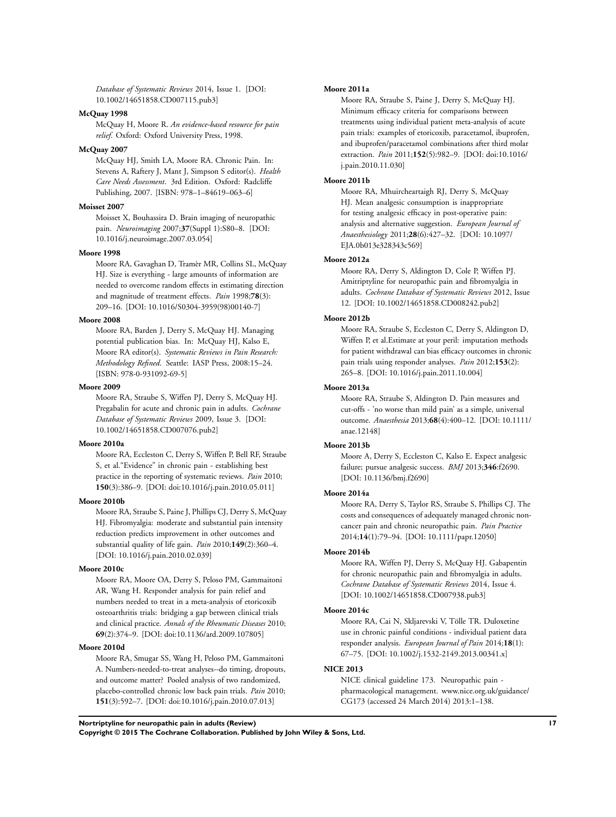*Database of Systematic Reviews* 2014, Issue 1. [DOI: 10.1002/14651858.CD007115.pub3]

#### **McQuay 1998**

McQuay H, Moore R. *An evidence-based resource for pain relief*. Oxford: Oxford University Press, 1998.

## **McQuay 2007**

McQuay HJ, Smith LA, Moore RA. Chronic Pain. In: Stevens A, Raftery J, Mant J, Simpson S editor(s). *Health Care Needs Assessment*. 3rd Edition. Oxford: Radcliffe Publishing, 2007. [ISBN: 978–1–84619–063–6]

#### **Moisset 2007**

Moisset X, Bouhassira D. Brain imaging of neuropathic pain. *Neuroimaging* 2007;**37**(Suppl 1):S80–8. [DOI: 10.1016/j.neuroimage.2007.03.054]

#### **Moore 1998**

Moore RA, Gavaghan D, Tramèr MR, Collins SL, McQuay HJ. Size is everything - large amounts of information are needed to overcome random effects in estimating direction and magnitude of treatment effects. *Pain* 1998;**78**(3): 209–16. [DOI: 10.1016/S0304-3959(98)00140-7]

## **Moore 2008**

Moore RA, Barden J, Derry S, McQuay HJ. Managing potential publication bias. In: McQuay HJ, Kalso E, Moore RA editor(s). *Systematic Reviews in Pain Research: Methodology Refined*. Seattle: IASP Press, 2008:15–24. [ISBN: 978-0-931092-69-5]

#### **Moore 2009**

Moore RA, Straube S, Wiffen PJ, Derry S, McQuay HJ. Pregabalin for acute and chronic pain in adults. *Cochrane Database of Systematic Reviews* 2009, Issue 3. [DOI: 10.1002/14651858.CD007076.pub2]

#### **Moore 2010a**

Moore RA, Eccleston C, Derry S, Wiffen P, Bell RF, Straube S, et al."Evidence" in chronic pain - establishing best practice in the reporting of systematic reviews. *Pain* 2010; **150**(3):386–9. [DOI: doi:10.1016/j.pain.2010.05.011]

#### **Moore 2010b**

Moore RA, Straube S, Paine J, Phillips CJ, Derry S, McQuay HJ. Fibromyalgia: moderate and substantial pain intensity reduction predicts improvement in other outcomes and substantial quality of life gain. *Pain* 2010;**149**(2):360–4. [DOI: 10.1016/j.pain.2010.02.039]

## **Moore 2010c**

Moore RA, Moore OA, Derry S, Peloso PM, Gammaitoni AR, Wang H. Responder analysis for pain relief and numbers needed to treat in a meta-analysis of etoricoxib osteoarthritis trials: bridging a gap between clinical trials and clinical practice. *Annals of the Rheumatic Diseases* 2010; **69**(2):374–9. [DOI: doi:10.1136/ard.2009.107805]

## **Moore 2010d**

Moore RA, Smugar SS, Wang H, Peloso PM, Gammaitoni A. Numbers-needed-to-treat analyses--do timing, dropouts, and outcome matter? Pooled analysis of two randomized, placebo-controlled chronic low back pain trials. *Pain* 2010; **151**(3):592–7. [DOI: doi:10.1016/j.pain.2010.07.013]

#### **Moore 2011a**

Moore RA, Straube S, Paine J, Derry S, McQuay HJ. Minimum efficacy criteria for comparisons between treatments using individual patient meta-analysis of acute pain trials: examples of etoricoxib, paracetamol, ibuprofen, and ibuprofen/paracetamol combinations after third molar extraction. *Pain* 2011;**152**(5):982–9. [DOI: doi:10.1016/ j.pain.2010.11.030]

#### **Moore 2011b**

Moore RA, Mhuircheartaigh RJ, Derry S, McQuay HJ. Mean analgesic consumption is inappropriate for testing analgesic efficacy in post-operative pain: analysis and alternative suggestion. *European Journal of Anaesthesiology* 2011;**28**(6):427–32. [DOI: 10.1097/ EJA.0b013e328343c569]

## **Moore 2012a**

Moore RA, Derry S, Aldington D, Cole P, Wiffen PJ. Amitriptyline for neuropathic pain and fibromyalgia in adults. *Cochrane Database of Systematic Reviews* 2012, Issue 12. [DOI: 10.1002/14651858.CD008242.pub2]

#### **Moore 2012b**

Moore RA, Straube S, Eccleston C, Derry S, Aldington D, Wiffen P, et al.Estimate at your peril: imputation methods for patient withdrawal can bias efficacy outcomes in chronic pain trials using responder analyses. *Pain* 2012;**153**(2): 265–8. [DOI: 10.1016/j.pain.2011.10.004]

#### **Moore 2013a**

Moore RA, Straube S, Aldington D. Pain measures and cut-offs - 'no worse than mild pain' as a simple, universal outcome. *Anaesthesia* 2013;**68**(4):400–12. [DOI: 10.1111/ anae.12148]

## **Moore 2013b**

Moore A, Derry S, Eccleston C, Kalso E. Expect analgesic failure; pursue analgesic success. *BMJ* 2013;**346**:f2690. [DOI: 10.1136/bmj.f2690]

#### **Moore 2014a**

Moore RA, Derry S, Taylor RS, Straube S, Phillips CJ. The costs and consequences of adequately managed chronic noncancer pain and chronic neuropathic pain. *Pain Practice* 2014;**14**(1):79–94. [DOI: 10.1111/papr.12050]

#### **Moore 2014b**

Moore RA, Wiffen PJ, Derry S, McQuay HJ. Gabapentin for chronic neuropathic pain and fibromyalgia in adults. *Cochrane Database of Systematic Reviews* 2014, Issue 4. [DOI: 10.1002/14651858.CD007938.pub3]

#### **Moore 2014c**

Moore RA, Cai N, Skljarevski V, Tölle TR. Duloxetine use in chronic painful conditions - individual patient data responder analysis. *European Journal of Pain* 2014;**18**(1): 67–75. [DOI: 10.1002/j.1532-2149.2013.00341.x]

## **NICE 2013**

NICE clinical guideline 173. Neuropathic pain pharmacological management. www.nice.org.uk/guidance/ CG173 (accessed 24 March 2014) 2013:1–138.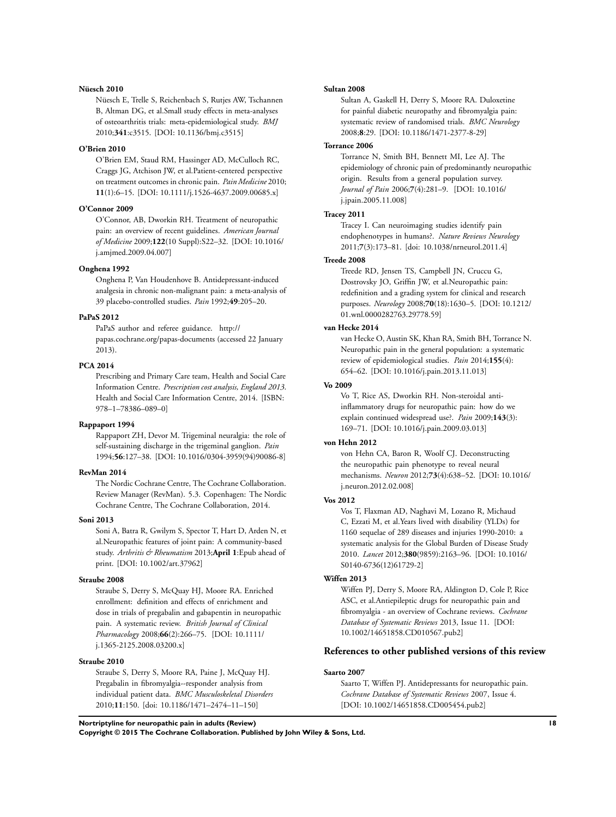#### **Nüesch 2010**

Nüesch E, Trelle S, Reichenbach S, Rutjes AW, Tschannen B, Altman DG, et al.Small study effects in meta-analyses of osteoarthritis trials: meta-epidemiological study. *BMJ* 2010;**341**:c3515. [DOI: 10.1136/bmj.c3515]

#### **O'Brien 2010**

O'Brien EM, Staud RM, Hassinger AD, McCulloch RC, Craggs JG, Atchison JW, et al.Patient-centered perspective on treatment outcomes in chronic pain. *Pain Medicine* 2010; **11**(1):6–15. [DOI: 10.1111/j.1526-4637.2009.00685.x]

#### **O'Connor 2009**

O'Connor, AB, Dworkin RH. Treatment of neuropathic pain: an overview of recent guidelines. *American Journal of Medicine* 2009;**122**(10 Suppl):S22–32. [DOI: 10.1016/ j.amjmed.2009.04.007]

## **Onghena 1992**

Onghena P, Van Houdenhove B. Antidepressant-induced analgesia in chronic non-malignant pain: a meta-analysis of 39 placebo-controlled studies. *Pain* 1992;**49**:205–20.

#### **PaPaS 2012**

PaPaS author and referee guidance. http:// papas.cochrane.org/papas-documents (accessed 22 January 2013).

## **PCA 2014**

Prescribing and Primary Care team, Health and Social Care Information Centre. *Prescription cost analysis, England 2013*. Health and Social Care Information Centre, 2014. [ISBN: 978–1–78386–089–0]

#### **Rappaport 1994**

Rappaport ZH, Devor M. Trigeminal neuralgia: the role of self-sustaining discharge in the trigeminal ganglion. *Pain* 1994;**56**:127–38. [DOI: 10.1016/0304-3959(94)90086-8]

## **RevMan 2014**

The Nordic Cochrane Centre, The Cochrane Collaboration. Review Manager (RevMan). 5.3. Copenhagen: The Nordic Cochrane Centre, The Cochrane Collaboration, 2014.

#### **Soni 2013**

Soni A, Batra R, Gwilym S, Spector T, Hart D, Arden N, et al.Neuropathic features of joint pain: A community-based study. *Arthritis & Rheumatism* 2013;**April 1**:Epub ahead of print. [DOI: 10.1002/art.37962]

#### **Straube 2008**

Straube S, Derry S, McQuay HJ, Moore RA. Enriched enrollment: definition and effects of enrichment and dose in trials of pregabalin and gabapentin in neuropathic pain. A systematic review. *British Journal of Clinical Pharmacology* 2008;**66**(2):266–75. [DOI: 10.1111/ j.1365-2125.2008.03200.x]

#### **Straube 2010**

Straube S, Derry S, Moore RA, Paine J, McQuay HJ. Pregabalin in fibromyalgia--responder analysis from individual patient data. *BMC Musculoskeletal Disorders* 2010;**11**:150. [doi: 10.1186/1471–2474–11–150]

#### **Sultan 2008**

Sultan A, Gaskell H, Derry S, Moore RA. Duloxetine for painful diabetic neuropathy and fibromyalgia pain: systematic review of randomised trials. *BMC Neurology* 2008;**8**:29. [DOI: 10.1186/1471-2377-8-29]

#### **Torrance 2006**

Torrance N, Smith BH, Bennett MI, Lee AJ. The epidemiology of chronic pain of predominantly neuropathic origin. Results from a general population survey. *Journal of Pain* 2006;**7**(4):281–9. [DOI: 10.1016/ j.jpain.2005.11.008]

#### **Tracey 2011**

Tracey I. Can neuroimaging studies identify pain endophenotypes in humans?. *Nature Reviews Neurology* 2011;**7**(3):173–81. [doi: 10.1038/nrneurol.2011.4]

## **Treede 2008**

Treede RD, Jensen TS, Campbell JN, Cruccu G, Dostrovsky JO, Griffin JW, et al.Neuropathic pain: redefinition and a grading system for clinical and research purposes. *Neurology* 2008;**70**(18):1630–5. [DOI: 10.1212/ 01.wnl.0000282763.29778.59]

## **van Hecke 2014**

van Hecke O, Austin SK, Khan RA, Smith BH, Torrance N. Neuropathic pain in the general population: a systematic review of epidemiological studies. *Pain* 2014;**155**(4): 654–62. [DOI: 10.1016/j.pain.2013.11.013]

#### **Vo 2009**

Vo T, Rice AS, Dworkin RH. Non-steroidal antiinflammatory drugs for neuropathic pain: how do we explain continued widespread use?. *Pain* 2009;**143**(3): 169–71. [DOI: 10.1016/j.pain.2009.03.013]

#### **von Hehn 2012**

von Hehn CA, Baron R, Woolf CJ. Deconstructing the neuropathic pain phenotype to reveal neural mechanisms. *Neuron* 2012;**73**(4):638–52. [DOI: 10.1016/ j.neuron.2012.02.008]

## **Vos 2012**

Vos T, Flaxman AD, Naghavi M, Lozano R, Michaud C, Ezzati M, et al.Years lived with disability (YLDs) for 1160 sequelae of 289 diseases and injuries 1990-2010: a systematic analysis for the Global Burden of Disease Study 2010. *Lancet* 2012;**380**(9859):2163–96. [DOI: 10.1016/ S0140-6736(12)61729-2]

# **Wiffen 2013**

Wiffen PJ, Derry S, Moore RA, Aldington D, Cole P, Rice ASC, et al.Antiepileptic drugs for neuropathic pain and fibromyalgia - an overview of Cochrane reviews. *Cochrane Database of Systematic Reviews* 2013, Issue 11. [DOI: 10.1002/14651858.CD010567.pub2]

## **References to other published versions of this review**

## **Saarto 2007**

Saarto T, Wiffen PJ. Antidepressants for neuropathic pain. *Cochrane Database of Systematic Reviews* 2007, Issue 4. [DOI: 10.1002/14651858.CD005454.pub2]

**Nortriptyline for neuropathic pain in adults (Review) 18**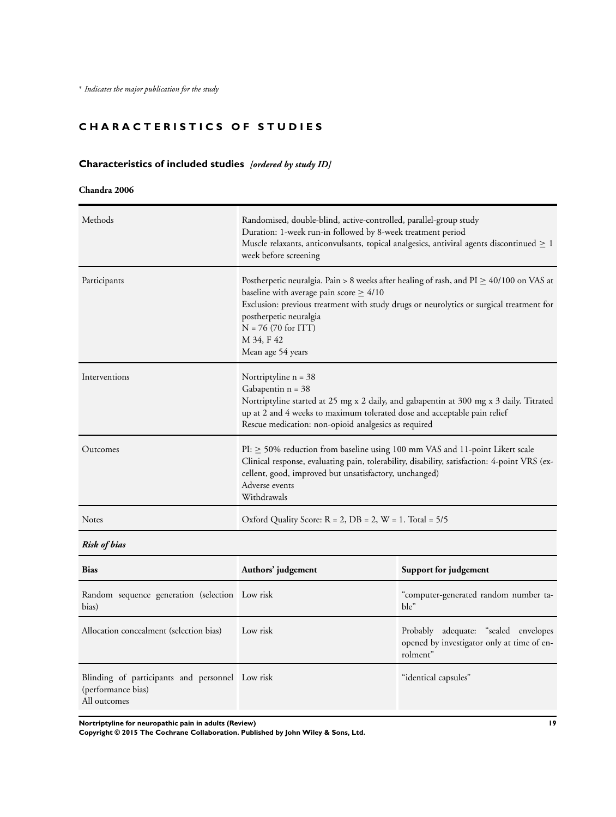# <span id="page-20-0"></span>**CHARACTERISTICS OF STUDIES**

# **Characteristics of included studies** *[ordered by study ID]*

## **Chandra 2006**

| Methods       | Randomised, double-blind, active-controlled, parallel-group study<br>Duration: 1-week run-in followed by 8-week treatment period<br>Muscle relaxants, anticonvulsants, topical analgesics, antiviral agents discontinued $\geq 1$<br>week before screening                                                                    |
|---------------|-------------------------------------------------------------------------------------------------------------------------------------------------------------------------------------------------------------------------------------------------------------------------------------------------------------------------------|
| Participants  | Postherpetic neuralgia. Pain > 8 weeks after healing of rash, and PI $\geq$ 40/100 on VAS at<br>baseline with average pain score $\geq 4/10$<br>Exclusion: previous treatment with study drugs or neurolytics or surgical treatment for<br>postherpetic neuralgia<br>$N = 76 (70 for ITT)$<br>M 34, F 42<br>Mean age 54 years |
| Interventions | Nortriptyline $n = 38$<br>Gabapentin $n = 38$<br>Nortriptyline started at 25 mg x 2 daily, and gabapentin at 300 mg x 3 daily. Titrated<br>up at 2 and 4 weeks to maximum tolerated dose and acceptable pain relief<br>Rescue medication: non-opioid analgesics as required                                                   |
| Outcomes      | $PI: \geq 50\%$ reduction from baseline using 100 mm VAS and 11-point Likert scale<br>Clinical response, evaluating pain, tolerability, disability, satisfaction: 4-point VRS (ex-<br>cellent, good, improved but unsatisfactory, unchanged)<br>Adverse events<br>Withdrawals                                                 |
| Notes         | Oxford Quality Score: $R = 2$ , $DB = 2$ , $W = 1$ . Total = 5/5                                                                                                                                                                                                                                                              |

*Risk of bias*

| <b>Bias</b>                                                                           | Authors' judgement | Support for judgement                                                                          |
|---------------------------------------------------------------------------------------|--------------------|------------------------------------------------------------------------------------------------|
| Random sequence generation (selection Low risk<br>bias)                               |                    | "computer-generated random number ta-<br>ble"                                                  |
| Allocation concealment (selection bias)                                               | Low risk           | Probably adequate: "sealed envelopes<br>opened by investigator only at time of en-<br>rolment" |
| Blinding of participants and personnel Low risk<br>(performance bias)<br>All outcomes |                    | "identical capsules"                                                                           |

**Nortriptyline for neuropathic pain in adults (Review) 19**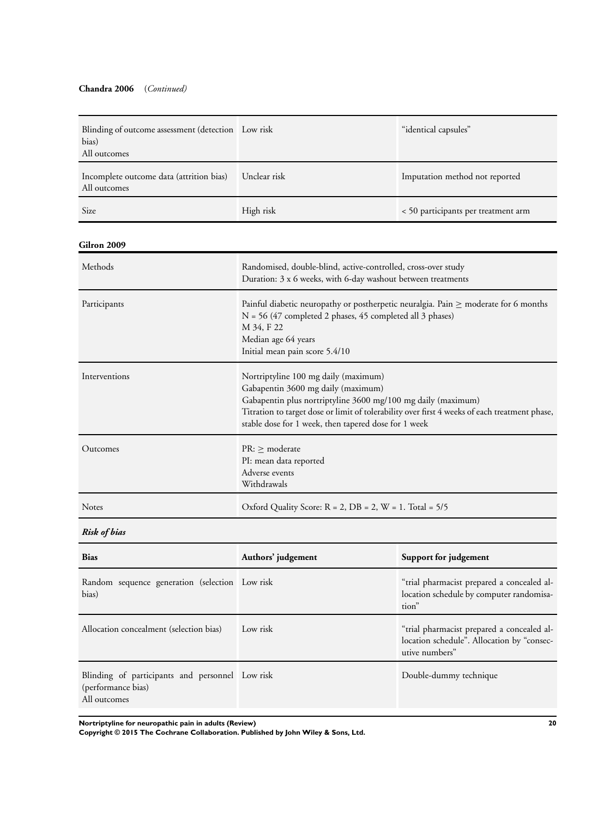# **Chandra 2006** (*Continued)*

| Blinding of outcome assessment (detection Low risk<br>bias)<br>All outcomes           |                                                                                                                                                                                                                                                                                                     | "identical capsules"                                                                                       |
|---------------------------------------------------------------------------------------|-----------------------------------------------------------------------------------------------------------------------------------------------------------------------------------------------------------------------------------------------------------------------------------------------------|------------------------------------------------------------------------------------------------------------|
| Incomplete outcome data (attrition bias)<br>All outcomes                              | Unclear risk                                                                                                                                                                                                                                                                                        | Imputation method not reported                                                                             |
| Size                                                                                  | High risk                                                                                                                                                                                                                                                                                           | < 50 participants per treatment arm                                                                        |
| Gilron 2009                                                                           |                                                                                                                                                                                                                                                                                                     |                                                                                                            |
| Methods                                                                               | Randomised, double-blind, active-controlled, cross-over study<br>Duration: 3 x 6 weeks, with 6-day washout between treatments                                                                                                                                                                       |                                                                                                            |
| Participants                                                                          | Painful diabetic neuropathy or postherpetic neuralgia. Pain $\geq$ moderate for 6 months<br>N = 56 (47 completed 2 phases, 45 completed all 3 phases)<br>M 34, F 22<br>Median age 64 years<br>Initial mean pain score 5.4/10                                                                        |                                                                                                            |
| Interventions                                                                         | Nortriptyline 100 mg daily (maximum)<br>Gabapentin 3600 mg daily (maximum)<br>Gabapentin plus nortriptyline 3600 mg/100 mg daily (maximum)<br>Titration to target dose or limit of tolerability over first 4 weeks of each treatment phase,<br>stable dose for 1 week, then tapered dose for 1 week |                                                                                                            |
| Outcomes                                                                              | $PR: \geq moderate$<br>PI: mean data reported<br>Adverse events<br>Withdrawals                                                                                                                                                                                                                      |                                                                                                            |
| Notes                                                                                 | Oxford Quality Score: $R = 2$ , $DB = 2$ , $W = 1$ . Total = 5/5                                                                                                                                                                                                                                    |                                                                                                            |
| Risk of bias                                                                          |                                                                                                                                                                                                                                                                                                     |                                                                                                            |
| Bias                                                                                  | Authors' judgement                                                                                                                                                                                                                                                                                  | Support for judgement                                                                                      |
| Random sequence generation (selection Low risk<br>bias)                               |                                                                                                                                                                                                                                                                                                     | "trial pharmacist prepared a concealed al-<br>location schedule by computer randomisa-<br>tion"            |
| Allocation concealment (selection bias)                                               | Low risk                                                                                                                                                                                                                                                                                            | "trial pharmacist prepared a concealed al-<br>location schedule". Allocation by "consec-<br>utive numbers" |
| Blinding of participants and personnel Low risk<br>(performance bias)<br>All outcomes |                                                                                                                                                                                                                                                                                                     | Double-dummy technique                                                                                     |

**Nortriptyline for neuropathic pain in adults (Review) 20**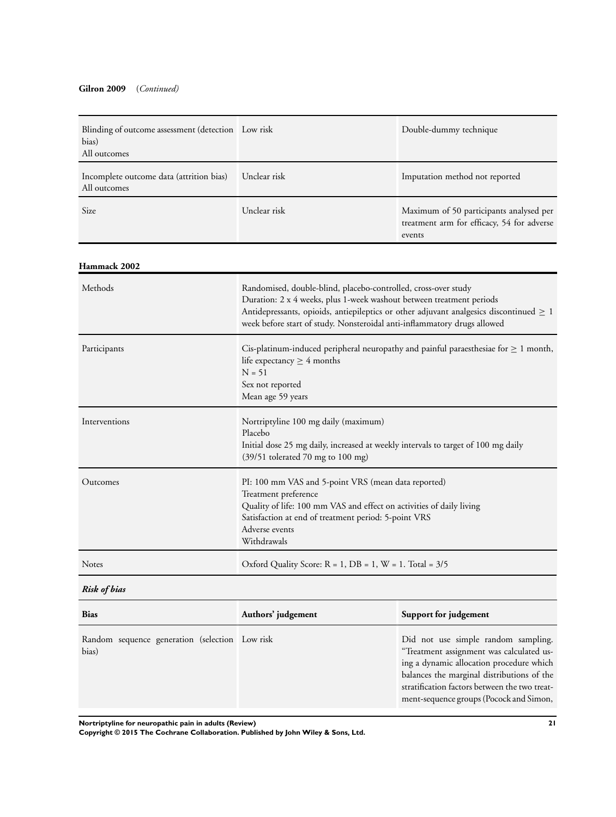| Blinding of outcome assessment (detection Low risk<br>bias)<br>All outcomes |                                                                                                                                                                                                                                              | Double-dummy technique                                                                          |
|-----------------------------------------------------------------------------|----------------------------------------------------------------------------------------------------------------------------------------------------------------------------------------------------------------------------------------------|-------------------------------------------------------------------------------------------------|
| Incomplete outcome data (attrition bias)<br>All outcomes                    | Unclear risk                                                                                                                                                                                                                                 | Imputation method not reported                                                                  |
| Size                                                                        | Unclear risk                                                                                                                                                                                                                                 | Maximum of 50 participants analysed per<br>treatment arm for efficacy, 54 for adverse<br>events |
| <b>Hammack 2002</b>                                                         |                                                                                                                                                                                                                                              |                                                                                                 |
| Methods                                                                     | Randomised, double-blind, placebo-controlled, cross-over study<br>Duration: 2 x 4 weeks, plus 1-week washout between treatment periods<br>week before start of study. Nonsteroidal anti-inflammatory drugs allowed                           | Antidepressants, opioids, antiepileptics or other adjuvant analgesics discontinued $\geq 1$     |
| Participants                                                                | life expectancy $\geq 4$ months<br>$N = 51$<br>Sex not reported<br>Mean age 59 years                                                                                                                                                         | Cis-platinum-induced peripheral neuropathy and painful paraesthesiae for $\geq 1$ month,        |
| Interventions                                                               | Nortriptyline 100 mg daily (maximum)<br>Placebo<br>Initial dose 25 mg daily, increased at weekly intervals to target of 100 mg daily<br>$(39/51$ tolerated 70 mg to 100 mg)                                                                  |                                                                                                 |
| Outcomes                                                                    | PI: 100 mm VAS and 5-point VRS (mean data reported)<br>Treatment preference<br>Quality of life: 100 mm VAS and effect on activities of daily living<br>Satisfaction at end of treatment period: 5-point VRS<br>Adverse events<br>Withdrawals |                                                                                                 |
| <b>Notes</b>                                                                | Oxford Quality Score: $R = 1$ , $DB = 1$ , $W = 1$ . Total = 3/5                                                                                                                                                                             |                                                                                                 |

# *Risk of bias*

| <b>Bias</b>                                             | Authors' judgement | Support for judgement                                                                                                                                                                                                                                                 |
|---------------------------------------------------------|--------------------|-----------------------------------------------------------------------------------------------------------------------------------------------------------------------------------------------------------------------------------------------------------------------|
| Random sequence generation (selection Low risk<br>bias) |                    | Did not use simple random sampling.<br>"Treatment assignment was calculated us-<br>ing a dynamic allocation procedure which<br>balances the marginal distributions of the<br>stratification factors between the two treat-<br>ment-sequence groups (Pocock and Simon, |

**Nortriptyline for neuropathic pain in adults (Review) 21**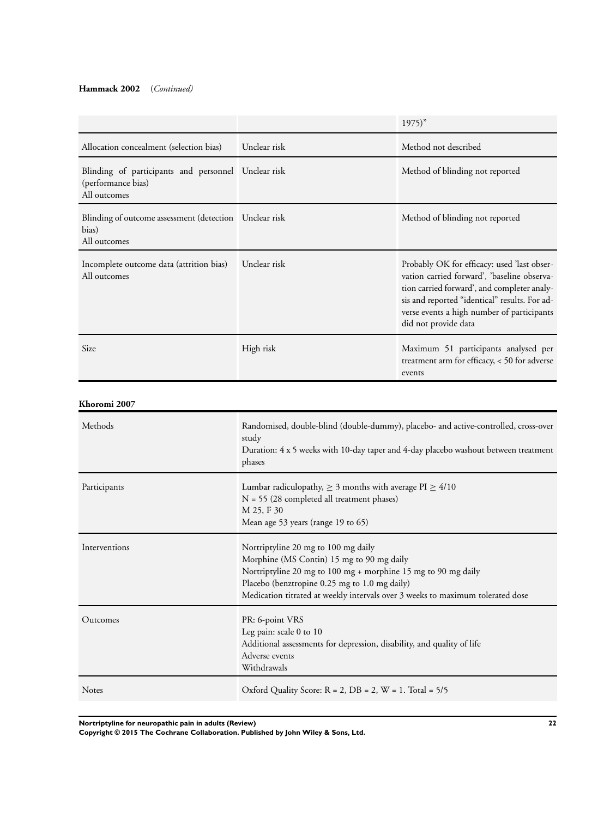# **Hammack 2002** (*Continued)*

|                                                                                           |                                                                                                                                                                                                                                                                                      | $1975)$ "                                                                                                                                                                                                                                                        |
|-------------------------------------------------------------------------------------------|--------------------------------------------------------------------------------------------------------------------------------------------------------------------------------------------------------------------------------------------------------------------------------------|------------------------------------------------------------------------------------------------------------------------------------------------------------------------------------------------------------------------------------------------------------------|
| Allocation concealment (selection bias)                                                   | Unclear risk                                                                                                                                                                                                                                                                         | Method not described                                                                                                                                                                                                                                             |
| Blinding of participants and personnel Unclear risk<br>(performance bias)<br>All outcomes |                                                                                                                                                                                                                                                                                      | Method of blinding not reported                                                                                                                                                                                                                                  |
| Blinding of outcome assessment (detection Unclear risk<br>bias)<br>All outcomes           |                                                                                                                                                                                                                                                                                      | Method of blinding not reported                                                                                                                                                                                                                                  |
| Incomplete outcome data (attrition bias)<br>All outcomes                                  | Unclear risk                                                                                                                                                                                                                                                                         | Probably OK for efficacy: used 'last obser-<br>vation carried forward', 'baseline observa-<br>tion carried forward', and completer analy-<br>sis and reported "identical" results. For ad-<br>verse events a high number of participants<br>did not provide data |
| Size                                                                                      | High risk                                                                                                                                                                                                                                                                            | Maximum 51 participants analysed per<br>treatment arm for efficacy, < 50 for adverse<br>events                                                                                                                                                                   |
| Khoromi 2007                                                                              |                                                                                                                                                                                                                                                                                      |                                                                                                                                                                                                                                                                  |
| Methods                                                                                   | study<br>phases                                                                                                                                                                                                                                                                      | Randomised, double-blind (double-dummy), placebo- and active-controlled, cross-over<br>Duration: 4 x 5 weeks with 10-day taper and 4-day placebo washout between treatment                                                                                       |
| Participants                                                                              | Lumbar radiculopathy, $\geq$ 3 months with average PI $\geq$ 4/10<br>$N = 55$ (28 completed all treatment phases)<br>M 25, F 30<br>Mean age 53 years (range 19 to 65)                                                                                                                |                                                                                                                                                                                                                                                                  |
| Interventions                                                                             | Nortriptyline 20 mg to 100 mg daily<br>Morphine (MS Contin) 15 mg to 90 mg daily<br>Nortriptyline 20 mg to 100 mg + morphine 15 mg to 90 mg daily<br>Placebo (benztropine 0.25 mg to 1.0 mg daily)<br>Medication titrated at weekly intervals over 3 weeks to maximum tolerated dose |                                                                                                                                                                                                                                                                  |
| Outcomes                                                                                  | PR: 6-point VRS<br>Leg pain: scale 0 to 10<br>Additional assessments for depression, disability, and quality of life<br>Adverse events<br>Withdrawals                                                                                                                                |                                                                                                                                                                                                                                                                  |
| Notes                                                                                     | Oxford Quality Score: $R = 2$ , $DB = 2$ , $W = 1$ . Total = 5/5                                                                                                                                                                                                                     |                                                                                                                                                                                                                                                                  |

**Nortriptyline for neuropathic pain in adults (Review) 22**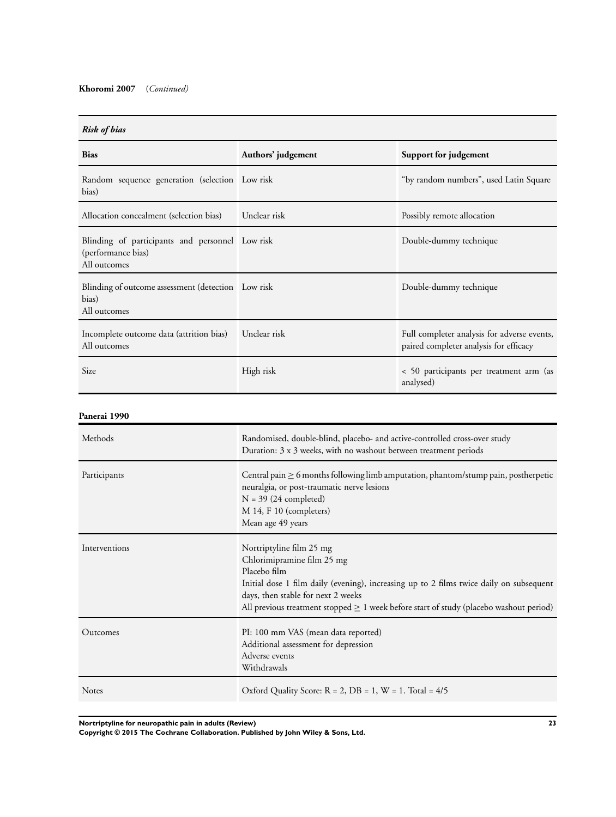# **Khoromi 2007** (*Continued)*

# *Risk of bias*

| <b>Bias</b>                                                                           | Authors' judgement | Support for judgement                                                                 |
|---------------------------------------------------------------------------------------|--------------------|---------------------------------------------------------------------------------------|
| Random sequence generation (selection Low risk<br>bias)                               |                    | "by random numbers", used Latin Square                                                |
| Allocation concealment (selection bias)                                               | Unclear risk       | Possibly remote allocation                                                            |
| Blinding of participants and personnel Low risk<br>(performance bias)<br>All outcomes |                    | Double-dummy technique                                                                |
| Blinding of outcome assessment (detection Low risk<br>bias)<br>All outcomes           |                    | Double-dummy technique                                                                |
| Incomplete outcome data (attrition bias)<br>All outcomes                              | Unclear risk       | Full completer analysis for adverse events,<br>paired completer analysis for efficacy |
| Size                                                                                  | High risk          | < 50 participants per treatment arm (as<br>analysed)                                  |

## **Panerai 1990**

| Methods       | Randomised, double-blind, placebo- and active-controlled cross-over study<br>Duration: 3 x 3 weeks, with no washout between treatment periods                                                                                                                                                          |
|---------------|--------------------------------------------------------------------------------------------------------------------------------------------------------------------------------------------------------------------------------------------------------------------------------------------------------|
| Participants  | Central pain $\geq$ 6 months following limb amputation, phantom/stump pain, postherpetic<br>neuralgia, or post-traumatic nerve lesions<br>$N = 39$ (24 completed)<br>M 14, F 10 (completers)<br>Mean age 49 years                                                                                      |
| Interventions | Nortriptyline film 25 mg<br>Chlorimipramine film 25 mg<br>Placebo film<br>Initial dose 1 film daily (evening), increasing up to 2 films twice daily on subsequent<br>days, then stable for next 2 weeks<br>All previous treatment stopped $\geq 1$ week before start of study (placebo washout period) |
| Outcomes      | PI: 100 mm VAS (mean data reported)<br>Additional assessment for depression<br>Adverse events<br>Withdrawals                                                                                                                                                                                           |
| <b>Notes</b>  | Oxford Quality Score: $R = 2$ , $DB = 1$ , $W = 1$ . Total = 4/5                                                                                                                                                                                                                                       |

**Nortriptyline for neuropathic pain in adults (Review) 23**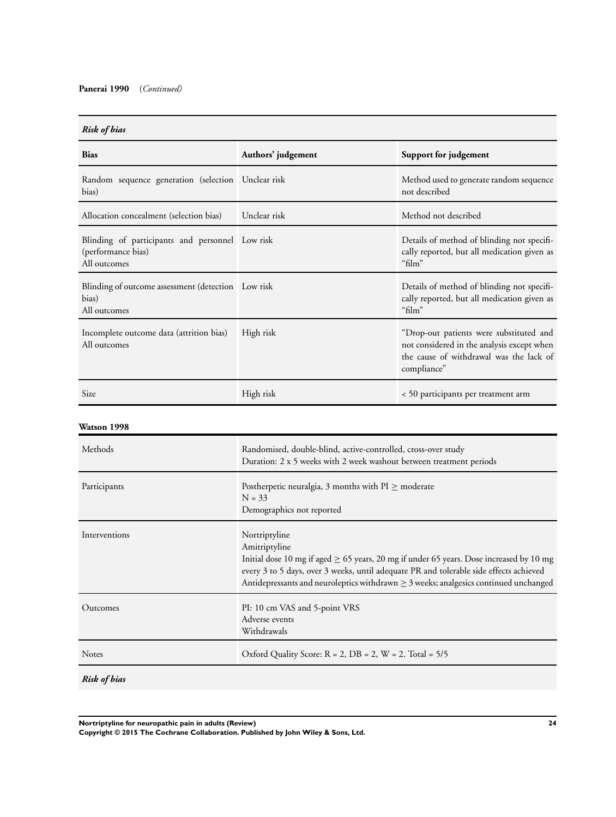# *Risk of bias*

| <b>Bias</b>                                                                           | Authors' judgement                                                                                                                   | Support for judgement                                                                                                                                                                     |
|---------------------------------------------------------------------------------------|--------------------------------------------------------------------------------------------------------------------------------------|-------------------------------------------------------------------------------------------------------------------------------------------------------------------------------------------|
| Random sequence generation (selection Unclear risk<br>bias)                           |                                                                                                                                      | Method used to generate random sequence<br>not described                                                                                                                                  |
| Allocation concealment (selection bias)                                               | Unclear risk                                                                                                                         | Method not described                                                                                                                                                                      |
| Blinding of participants and personnel Low risk<br>(performance bias)<br>All outcomes |                                                                                                                                      | Details of method of blinding not specifi-<br>cally reported, but all medication given as<br>"film"                                                                                       |
| Blinding of outcome assessment (detection Low risk<br>bias)<br>All outcomes           |                                                                                                                                      | Details of method of blinding not specifi-<br>cally reported, but all medication given as<br>"film"                                                                                       |
| Incomplete outcome data (attrition bias)<br>All outcomes                              | High risk                                                                                                                            | "Drop-out patients were substituted and<br>not considered in the analysis except when<br>the cause of withdrawal was the lack of<br>compliance"                                           |
| Size                                                                                  | High risk                                                                                                                            | < 50 participants per treatment arm                                                                                                                                                       |
| Watson 1998                                                                           |                                                                                                                                      |                                                                                                                                                                                           |
| Methods                                                                               | Randomised, double-blind, active-controlled, cross-over study<br>Duration: 2 x 5 weeks with 2 week washout between treatment periods |                                                                                                                                                                                           |
| Participants                                                                          | Postherpetic neuralgia, 3 months with $PI \geq$ moderate<br>$N = 33$<br>Demographics not reported                                    |                                                                                                                                                                                           |
| Interventions                                                                         | Nortriptyline<br>Amitriptyline<br>every 3 to 5 days, over 3 weeks, until adequate PR and tolerable side effects achieved             | Initial dose 10 mg if aged $\geq$ 65 years, 20 mg if under 65 years. Dose increased by 10 mg<br>Antidepressants and neuroleptics withdrawn $\geq$ 3 weeks; analgesics continued unchanged |
| Outcomes                                                                              | PI: 10 cm VAS and 5-point VRS<br>Adverse events<br>Withdrawals                                                                       |                                                                                                                                                                                           |
| Notes                                                                                 | Oxford Quality Score: $R = 2$ , $DB = 2$ , $W = 2$ . Total = 5/5                                                                     |                                                                                                                                                                                           |
| <b>Risk of bias</b>                                                                   |                                                                                                                                      |                                                                                                                                                                                           |

**Nortriptyline for neuropathic pain in adults (Review) 24**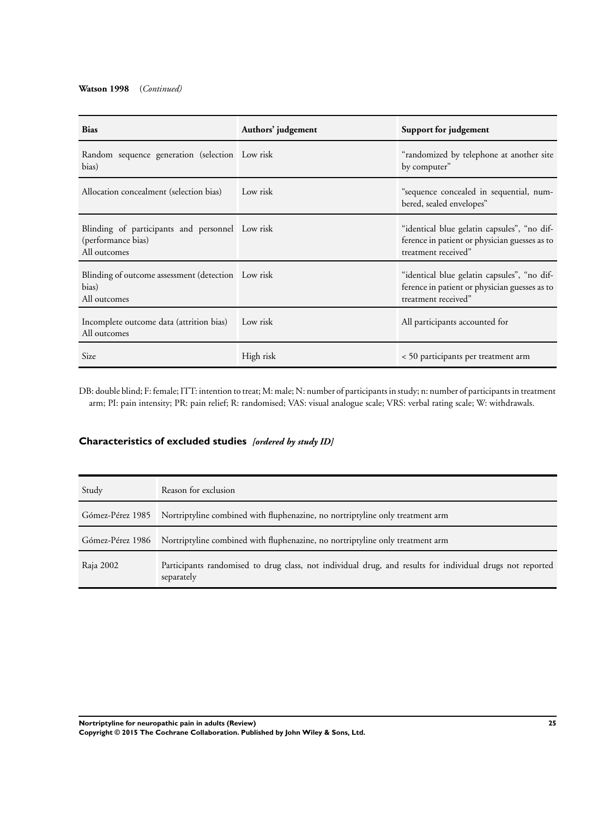## <span id="page-26-0"></span>**Watson 1998** (*Continued)*

| <b>Bias</b>                                                                           | Authors' judgement | Support for judgement                                                                                               |
|---------------------------------------------------------------------------------------|--------------------|---------------------------------------------------------------------------------------------------------------------|
| Random sequence generation (selection Low risk<br>bias)                               |                    | "randomized by telephone at another site<br>by computer"                                                            |
| Allocation concealment (selection bias)                                               | Low risk           | "sequence concealed in sequential, num-<br>bered, sealed envelopes"                                                 |
| Blinding of participants and personnel Low risk<br>(performance bias)<br>All outcomes |                    | "identical blue gelatin capsules", "no dif-<br>ference in patient or physician guesses as to<br>treatment received" |
| Blinding of outcome assessment (detection Low risk<br>bias)<br>All outcomes           |                    | "identical blue gelatin capsules", "no dif-<br>ference in patient or physician guesses as to<br>treatment received" |
| Incomplete outcome data (attrition bias) Low risk<br>All outcomes                     |                    | All participants accounted for                                                                                      |
| Size                                                                                  | High risk          | < 50 participants per treatment arm                                                                                 |

DB: double blind; F: female; ITT: intention to treat; M: male; N: number of participants in study; n: number of participants in treatment arm; PI: pain intensity; PR: pain relief; R: randomised; VAS: visual analogue scale; VRS: verbal rating scale; W: withdrawals.

# **Characteristics of excluded studies** *[ordered by study ID]*

| Study            | Reason for exclusion                                                                                                    |
|------------------|-------------------------------------------------------------------------------------------------------------------------|
| Gómez-Pérez 1985 | Nortriptyline combined with fluphenazine, no nortriptyline only treatment arm                                           |
|                  | Gómez-Pérez 1986 Nortriptyline combined with fluphenazine, no nortriptyline only treatment arm                          |
| Raja 2002        | Participants randomised to drug class, not individual drug, and results for individual drugs not reported<br>separately |

**Nortriptyline for neuropathic pain in adults (Review) 25 Copyright © 2015 The Cochrane Collaboration. Published by John Wiley & Sons, Ltd.**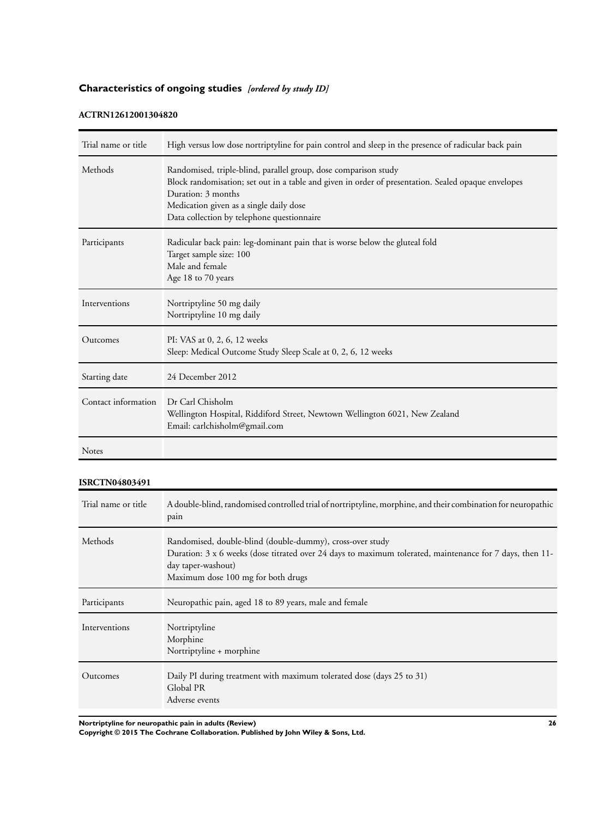# <span id="page-27-0"></span>**Characteristics of ongoing studies** *[ordered by study ID]*

# **ACTRN12612001304820**

| Trial name or title | High versus low dose nortriptyline for pain control and sleep in the presence of radicular back pain                                                                                                                                                                                  |
|---------------------|---------------------------------------------------------------------------------------------------------------------------------------------------------------------------------------------------------------------------------------------------------------------------------------|
| Methods             | Randomised, triple-blind, parallel group, dose comparison study<br>Block randomisation; set out in a table and given in order of presentation. Sealed opaque envelopes<br>Duration: 3 months<br>Medication given as a single daily dose<br>Data collection by telephone questionnaire |
| Participants        | Radicular back pain: leg-dominant pain that is worse below the gluteal fold<br>Target sample size: 100<br>Male and female<br>Age 18 to 70 years                                                                                                                                       |
| Interventions       | Nortriptyline 50 mg daily<br>Nortriptyline 10 mg daily                                                                                                                                                                                                                                |
| Outcomes            | PI: VAS at 0, 2, 6, 12 weeks<br>Sleep: Medical Outcome Study Sleep Scale at 0, 2, 6, 12 weeks                                                                                                                                                                                         |
| Starting date       | 24 December 2012                                                                                                                                                                                                                                                                      |
| Contact information | Dr Carl Chisholm<br>Wellington Hospital, Riddiford Street, Newtown Wellington 6021, New Zealand<br>Email: carlchisholm@gmail.com                                                                                                                                                      |
| <b>Notes</b>        |                                                                                                                                                                                                                                                                                       |

# **ISRCTN04803491**

| Trial name or title | A double-blind, randomised controlled trial of nortriptyline, morphine, and their combination for neuropathic<br>pain                                                                                                             |
|---------------------|-----------------------------------------------------------------------------------------------------------------------------------------------------------------------------------------------------------------------------------|
| Methods             | Randomised, double-blind (double-dummy), cross-over study<br>Duration: 3 x 6 weeks (dose titrated over 24 days to maximum tolerated, maintenance for 7 days, then 11-<br>day taper-washout)<br>Maximum dose 100 mg for both drugs |
| Participants        | Neuropathic pain, aged 18 to 89 years, male and female                                                                                                                                                                            |
| Interventions       | Nortriptyline<br>Morphine<br>Nortriptyline + morphine                                                                                                                                                                             |
| Outcomes            | Daily PI during treatment with maximum tolerated dose (days 25 to 31)<br>Global PR<br>Adverse events                                                                                                                              |

**Nortriptyline for neuropathic pain in adults (Review) 26**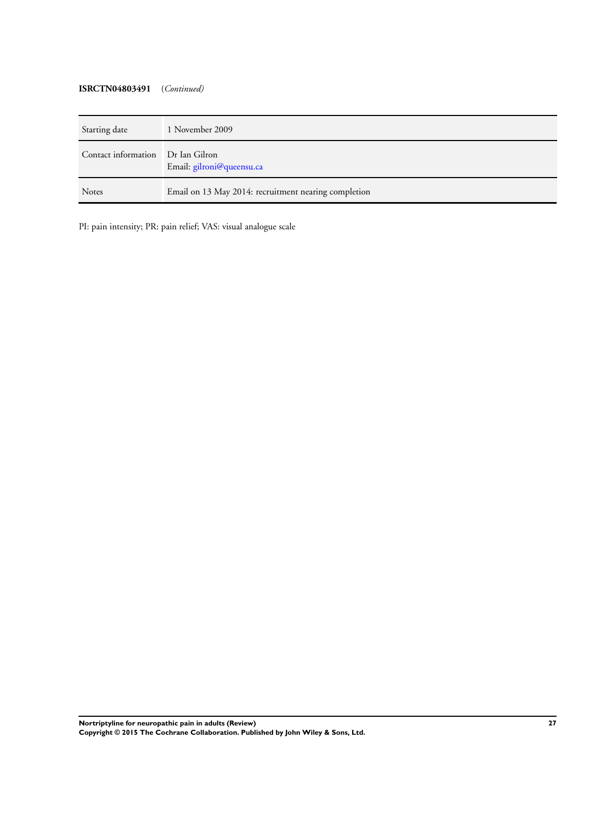# **ISRCTN04803491** (*Continued)*

| Starting date                      | 1 November 2009                                      |
|------------------------------------|------------------------------------------------------|
| Contact information  Dr Ian Gilron | Email: gilroni@queensu.ca                            |
| <b>Notes</b>                       | Email on 13 May 2014: recruitment nearing completion |

PI: pain intensity; PR: pain relief; VAS: visual analogue scale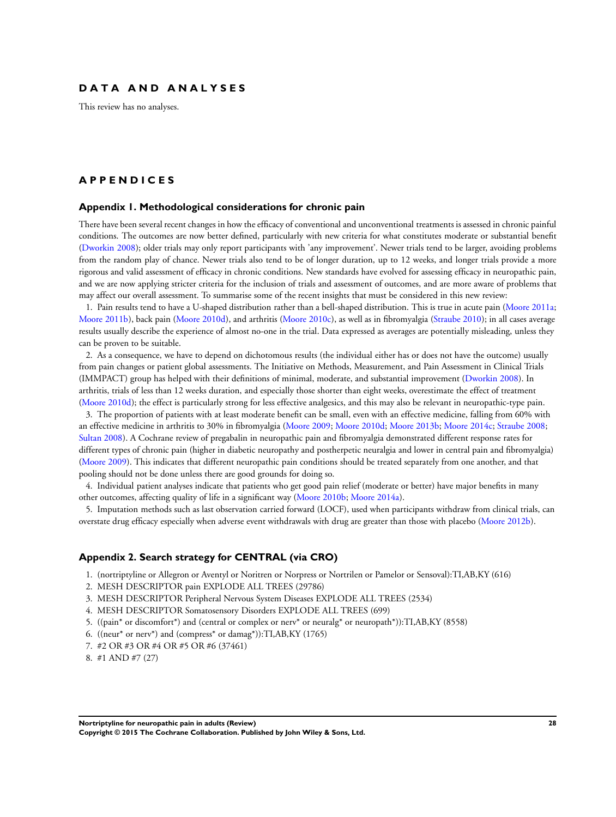## <span id="page-29-0"></span>**D A T A A N D A N A L Y S E S**

This review has no analyses.

# **A P P E N D I C E S**

## **Appendix 1. Methodological considerations for chronic pain**

There have been several recent changes in how the efficacy of conventional and unconventional treatments is assessed in chronic painful conditions. The outcomes are now better defined, particularly with new criteria for what constitutes moderate or substantial benefit [\(Dworkin 2008](#page-16-0)); older trials may only report participants with 'any improvement'. Newer trials tend to be larger, avoiding problems from the random play of chance. Newer trials also tend to be of longer duration, up to 12 weeks, and longer trials provide a more rigorous and valid assessment of efficacy in chronic conditions. New standards have evolved for assessing efficacy in neuropathic pain, and we are now applying stricter criteria for the inclusion of trials and assessment of outcomes, and are more aware of problems that may affect our overall assessment. To summarise some of the recent insights that must be considered in this new review:

1. Pain results tend to have a U-shaped distribution rather than a bell-shaped distribution. This is true in acute pain [\(Moore 2011a;](#page-16-0) [Moore 2011b](#page-16-0)), back pain [\(Moore 2010d](#page-16-0)), and arthritis [\(Moore 2010c](#page-16-0)), as well as in fibromyalgia [\(Straube 2010\)](#page-16-0); in all cases average results usually describe the experience of almost no-one in the trial. Data expressed as averages are potentially misleading, unless they can be proven to be suitable.

2. As a consequence, we have to depend on dichotomous results (the individual either has or does not have the outcome) usually from pain changes or patient global assessments. The Initiative on Methods, Measurement, and Pain Assessment in Clinical Trials (IMMPACT) group has helped with their definitions of minimal, moderate, and substantial improvement ([Dworkin 2008](#page-16-0)). In arthritis, trials of less than 12 weeks duration, and especially those shorter than eight weeks, overestimate the effect of treatment [\(Moore 2010d](#page-16-0)); the effect is particularly strong for less effective analgesics, and this may also be relevant in neuropathic-type pain.

3. The proportion of patients with at least moderate benefit can be small, even with an effective medicine, falling from 60% with an effective medicine in arthritis to 30% in fibromyalgia [\(Moore 2009;](#page-16-0) [Moore 2010d](#page-16-0); [Moore 2013b;](#page-16-0) [Moore 2014c](#page-16-0); [Straube 2008](#page-16-0); [Sultan 2008\)](#page-16-0). A Cochrane review of pregabalin in neuropathic pain and fibromyalgia demonstrated different response rates for different types of chronic pain (higher in diabetic neuropathy and postherpetic neuralgia and lower in central pain and fibromyalgia) [\(Moore 2009\)](#page-16-0). This indicates that different neuropathic pain conditions should be treated separately from one another, and that pooling should not be done unless there are good grounds for doing so.

4. Individual patient analyses indicate that patients who get good pain relief (moderate or better) have major benefits in many other outcomes, affecting quality of life in a significant way ([Moore 2010b;](#page-16-0) [Moore 2014a](#page-16-0)).

5. Imputation methods such as last observation carried forward (LOCF), used when participants withdraw from clinical trials, can overstate drug efficacy especially when adverse event withdrawals with drug are greater than those with placebo [\(Moore 2012b](#page-16-0)).

## **Appendix 2. Search strategy for CENTRAL (via CRO)**

1. (nortriptyline or Allegron or Aventyl or Noritren or Norpress or Nortrilen or Pamelor or Sensoval):TI,AB,KY (616)

- 2. MESH DESCRIPTOR pain EXPLODE ALL TREES (29786)
- 3. MESH DESCRIPTOR Peripheral Nervous System Diseases EXPLODE ALL TREES (2534)
- 4. MESH DESCRIPTOR Somatosensory Disorders EXPLODE ALL TREES (699)
- 5. ((pain\* or discomfort\*) and (central or complex or nerv\* or neuralg\* or neuropath\*)):TI,AB,KY (8558)
- 6. ((neur\* or nerv\*) and (compress\* or damag\*)):TI,AB,KY (1765)
- 7. #2 OR #3 OR #4 OR #5 OR #6 (37461)
- 8. #1 AND #7 (27)

**Nortriptyline for neuropathic pain in adults (Review) 28 Copyright © 2015 The Cochrane Collaboration. Published by John Wiley & Sons, Ltd.**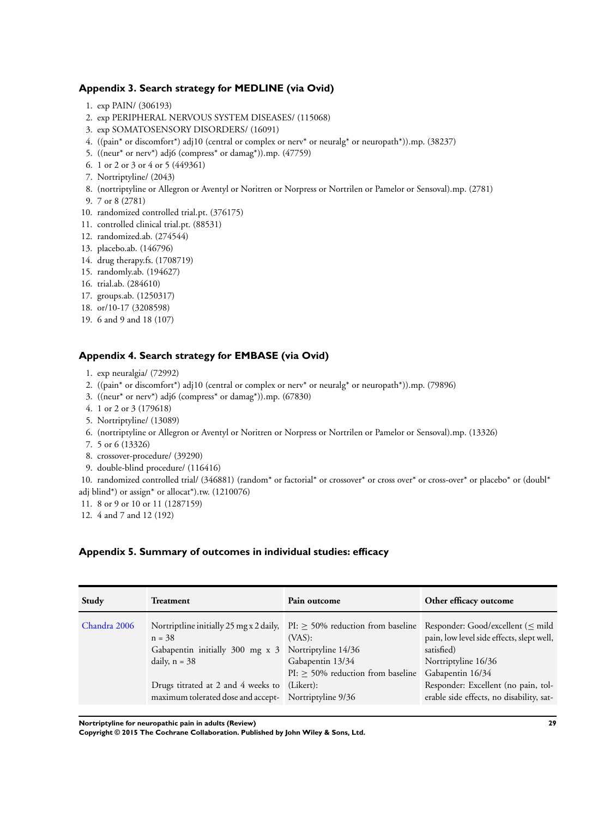## <span id="page-30-0"></span>**Appendix 3. Search strategy for MEDLINE (via Ovid)**

- 1. exp PAIN/ (306193)
- 2. exp PERIPHERAL NERVOUS SYSTEM DISEASES/ (115068)
- 3. exp SOMATOSENSORY DISORDERS/ (16091)
- 4. ((pain\* or discomfort\*) adj10 (central or complex or nerv\* or neuralg\* or neuropath\*)).mp. (38237)
- 5. ((neur\* or nerv\*) adj6 (compress\* or damag\*)).mp. (47759)
- 6. 1 or 2 or 3 or 4 or 5 (449361)
- 7. Nortriptyline/ (2043)
- 8. (nortriptyline or Allegron or Aventyl or Noritren or Norpress or Nortrilen or Pamelor or Sensoval).mp. (2781)
- 9. 7 or 8 (2781)
- 10. randomized controlled trial.pt. (376175)
- 11. controlled clinical trial.pt. (88531)
- 12. randomized.ab. (274544)
- 13. placebo.ab. (146796)
- 14. drug therapy.fs. (1708719)
- 15. randomly.ab. (194627)
- 16. trial.ab. (284610)
- 17. groups.ab. (1250317)
- 18. or/10-17 (3208598)
- 19. 6 and 9 and 18 (107)

# **Appendix 4. Search strategy for EMBASE (via Ovid)**

- 1. exp neuralgia/ (72992)
- 2. ((pain\* or discomfort\*) adj10 (central or complex or nerv\* or neuralg\* or neuropath\*)).mp. (79896)
- 3. ((neur\* or nerv\*) adj6 (compress\* or damag\*)).mp. (67830)
- 4. 1 or 2 or 3 (179618)
- 5. Nortriptyline/ (13089)
- 6. (nortriptyline or Allegron or Aventyl or Noritren or Norpress or Nortrilen or Pamelor or Sensoval).mp. (13326)
- 7. 5 or 6 (13326)
- 8. crossover-procedure/ (39290)
- 9. double-blind procedure/ (116416)

10. randomized controlled trial/ (346881) (random\* or factorial\* or crossover\* or cross over\* or cross-over\* or placebo\* or (doubl\* adj blind\*) or assign\* or allocat\*).tw.  $(1210076)$ 

- 11. 8 or 9 or 10 or 11 (1287159)
- 12. 4 and 7 and 12 (192)

# **Appendix 5. Summary of outcomes in individual studies: efficacy**

| Study        | Treatment                                                                                                                                                      | Pain outcome                                                                                                                                                                                                                        | Other efficacy outcome                                                                                                                                                                |
|--------------|----------------------------------------------------------------------------------------------------------------------------------------------------------------|-------------------------------------------------------------------------------------------------------------------------------------------------------------------------------------------------------------------------------------|---------------------------------------------------------------------------------------------------------------------------------------------------------------------------------------|
| Chandra 2006 | $n = 38$<br>Gabapentin initially 300 mg x 3 Nortriptyline 14/36<br>daily, $n = 38$<br>Drugs titrated at 2 and 4 weeks to<br>maximum tolerated dose and accept- | Nortriptline initially 25 mg x 2 daily, $PI: \geq 50\%$ reduction from baseline Responder: Good/excellent ( $\leq$ mild<br>(VAS):<br>Gabapentin 13/34<br>$PI: \geq 50\%$ reduction from baseline<br>(Likert):<br>Nortriptyline 9/36 | pain, low level side effects, slept well,<br>satisfied)<br>Nortriptyline 16/36<br>Gabapentin 16/34<br>Responder: Excellent (no pain, tol-<br>erable side effects, no disability, sat- |

**Nortriptyline for neuropathic pain in adults (Review) 29**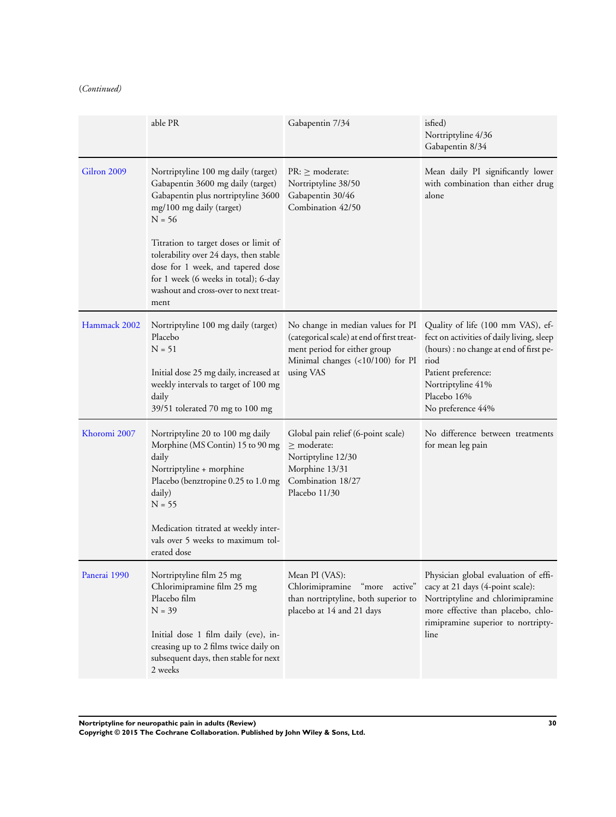| able PR                                                                                                                                                                                                                                                                        | Gabapentin 7/34                                                                                                                                                  | isfied)<br>Nortriptyline 4/36<br>Gabapentin 8/34                                                                                                                                                                  |
|--------------------------------------------------------------------------------------------------------------------------------------------------------------------------------------------------------------------------------------------------------------------------------|------------------------------------------------------------------------------------------------------------------------------------------------------------------|-------------------------------------------------------------------------------------------------------------------------------------------------------------------------------------------------------------------|
| Nortriptyline 100 mg daily (target)<br>Gabapentin 3600 mg daily (target)<br>Gabapentin plus nortriptyline 3600<br>mg/100 mg daily (target)<br>$N = 56$<br>Titration to target doses or limit of<br>tolerability over 24 days, then stable<br>dose for 1 week, and tapered dose | $PR: \geq$ moderate:<br>Nortriptyline 38/50<br>Gabapentin 30/46<br>Combination 42/50                                                                             | Mean daily PI significantly lower<br>with combination than either drug<br>alone                                                                                                                                   |
| washout and cross-over to next treat-<br>ment                                                                                                                                                                                                                                  |                                                                                                                                                                  |                                                                                                                                                                                                                   |
| Nortriptyline 100 mg daily (target)<br>Placebo<br>$N = 51$<br>Initial dose 25 mg daily, increased at<br>weekly intervals to target of 100 mg<br>daily<br>39/51 tolerated 70 mg to 100 mg                                                                                       | No change in median values for PI<br>(categorical scale) at end of first treat-<br>ment period for either group<br>Minimal changes (<10/100) for PI<br>using VAS | Quality of life (100 mm VAS), ef-<br>fect on activities of daily living, sleep<br>(hours) : no change at end of first pe-<br>riod<br>Patient preference:<br>Nortriptyline 41%<br>Placebo 16%<br>No preference 44% |
| Nortriptyline 20 to 100 mg daily<br>Morphine (MS Contin) 15 to 90 mg<br>daily<br>Nortriptyline + morphine<br>Placebo (benztropine 0.25 to 1.0 mg<br>daily)<br>$N = 55$<br>Medication titrated at weekly inter-<br>vals over 5 weeks to maximum tol-                            | Global pain relief (6-point scale)<br>$\geq$ moderate:<br>Nortiptyline 12/30<br>Morphine 13/31<br>Combination 18/27<br>Placebo 11/30                             | No difference between treatments<br>for mean leg pain                                                                                                                                                             |
| erated dose<br>Nortriptyline film 25 mg<br>Chlorimipramine film 25 mg<br>Placebo film<br>$N = 39$<br>Initial dose 1 film daily (eve), in-<br>creasing up to 2 films twice daily on<br>subsequent days, then stable for next<br>2 weeks                                         | Mean PI (VAS):<br>Chlorimipramine "more active"<br>than nortriptyline, both superior to<br>placebo at 14 and 21 days                                             | Physician global evaluation of effi-<br>cacy at 21 days (4-point scale):<br>Nortriptyline and chlorimipramine<br>more effective than placebo, chlo-<br>rimipramine superior to nortripty-<br>line                 |
|                                                                                                                                                                                                                                                                                | for 1 week (6 weeks in total); 6-day                                                                                                                             |                                                                                                                                                                                                                   |

**Nortriptyline for neuropathic pain in adults (Review) 30**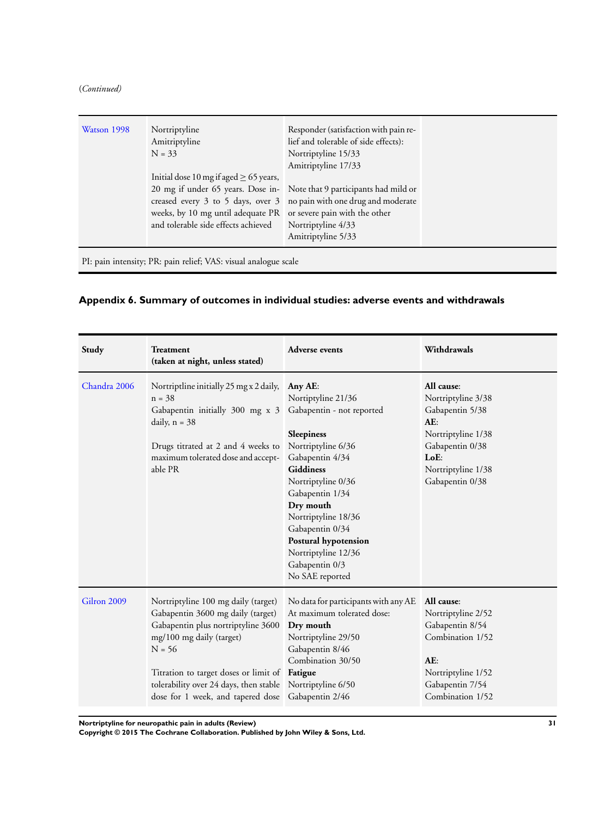<span id="page-32-0"></span>

| Watson 1998 | Nortriptyline<br>Amitriptyline<br>$N = 33$<br>Initial dose 10 mg if aged $\geq$ 65 years,                                                                                                                                                                | Responder (satisfaction with pain re-<br>lief and tolerable of side effects):<br>Nortriptyline 15/33<br>Amitriptyline 17/33 |  |
|-------------|----------------------------------------------------------------------------------------------------------------------------------------------------------------------------------------------------------------------------------------------------------|-----------------------------------------------------------------------------------------------------------------------------|--|
|             | 20 mg if under 65 years. Dose in- Note that 9 participants had mild or<br>creased every 3 to 5 days, over 3 no pain with one drug and moderate<br>weeks, by 10 mg until adequate PR or severe pain with the other<br>and tolerable side effects achieved | Nortriptyline 4/33<br>Amitriptyline 5/33                                                                                    |  |

PI: pain intensity; PR: pain relief; VAS: visual analogue scale

# **Appendix 6. Summary of outcomes in individual studies: adverse events and withdrawals**

| Study        | <b>Treatment</b><br>(taken at night, unless stated)                                                                                                                                                                                                                                               | <b>Adverse events</b>                                                                                                                                                                                                                                                                                                            | Withdrawals                                                                                                                                          |
|--------------|---------------------------------------------------------------------------------------------------------------------------------------------------------------------------------------------------------------------------------------------------------------------------------------------------|----------------------------------------------------------------------------------------------------------------------------------------------------------------------------------------------------------------------------------------------------------------------------------------------------------------------------------|------------------------------------------------------------------------------------------------------------------------------------------------------|
| Chandra 2006 | Nortriptline initially 25 mg x 2 daily,<br>$n = 38$<br>Gabapentin initially 300 mg x 3<br>daily, $n = 38$<br>Drugs titrated at 2 and 4 weeks to<br>maximum tolerated dose and accept-<br>able PR                                                                                                  | Any AE:<br>Nortiptyline 21/36<br>Gabapentin - not reported<br>Sleepiness<br>Nortriptyline 6/36<br>Gabapentin 4/34<br><b>Giddiness</b><br>Nortriptyline 0/36<br>Gabapentin 1/34<br>Dry mouth<br>Nortriptyline 18/36<br>Gabapentin 0/34<br><b>Postural hypotension</b><br>Nortriptyline 12/36<br>Gabapentin 0/3<br>No SAE reported | All cause:<br>Nortriptyline 3/38<br>Gabapentin 5/38<br>AE:<br>Nortriptyline 1/38<br>Gabapentin 0/38<br>LoE:<br>Nortriptyline 1/38<br>Gabapentin 0/38 |
| Gilron 2009  | Nortriptyline 100 mg daily (target)<br>Gabapentin 3600 mg daily (target)<br>Gabapentin plus nortriptyline 3600<br>mg/100 mg daily (target)<br>$N = 56$<br>Titration to target doses or limit of<br>tolerability over 24 days, then stable Nortriptyline 6/50<br>dose for 1 week, and tapered dose | No data for participants with any AE<br>At maximum tolerated dose:<br>Dry mouth<br>Nortriptyline 29/50<br>Gabapentin 8/46<br>Combination 30/50<br>Fatigue<br>Gabapentin 2/46                                                                                                                                                     | All cause:<br>Nortriptyline 2/52<br>Gabapentin 8/54<br>Combination 1/52<br>AE:<br>Nortriptyline 1/52<br>Gabapentin 7/54<br>Combination 1/52          |

**Nortriptyline for neuropathic pain in adults (Review) 31**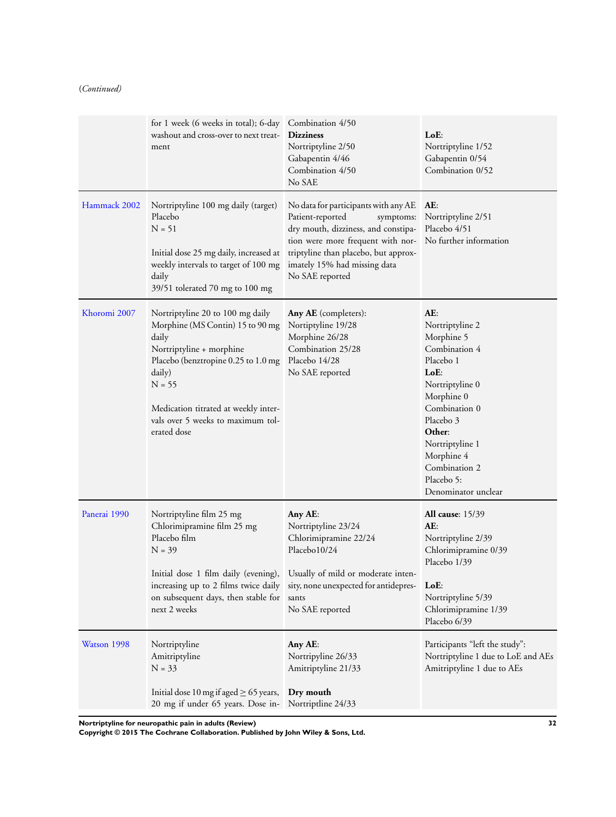|              | for 1 week (6 weeks in total); 6-day<br>washout and cross-over to next treat-<br>ment                                                                                                                                                                                 | Combination 4/50<br><b>Dizziness</b><br>Nortriptyline 2/50<br>Gabapentin 4/46<br>Combination 4/50<br>No SAE                                                                                                                                  | LoE:<br>Nortriptyline 1/52<br>Gabapentin 0/54<br>Combination 0/52                                                                                                                                                                          |
|--------------|-----------------------------------------------------------------------------------------------------------------------------------------------------------------------------------------------------------------------------------------------------------------------|----------------------------------------------------------------------------------------------------------------------------------------------------------------------------------------------------------------------------------------------|--------------------------------------------------------------------------------------------------------------------------------------------------------------------------------------------------------------------------------------------|
| Hammack 2002 | Nortriptyline 100 mg daily (target)<br>Placebo<br>$N = 51$<br>Initial dose 25 mg daily, increased at<br>weekly intervals to target of 100 mg<br>daily<br>39/51 tolerated 70 mg to 100 mg                                                                              | No data for participants with any AE<br>Patient-reported<br>symptoms:<br>dry mouth, dizziness, and constipa-<br>tion were more frequent with nor-<br>triptyline than placebo, but approx-<br>imately 15% had missing data<br>No SAE reported | AE:<br>Nortriptyline 2/51<br>Placebo 4/51<br>No further information                                                                                                                                                                        |
| Khoromi 2007 | Nortriptyline 20 to 100 mg daily<br>Morphine (MS Contin) 15 to 90 mg<br>daily<br>Nortriptyline + morphine<br>Placebo (benztropine 0.25 to 1.0 mg<br>daily)<br>$N = 55$<br>Medication titrated at weekly inter-<br>vals over 5 weeks to maximum tol-<br>erated dose    | Any AE (completers):<br>Nortiptyline 19/28<br>Morphine 26/28<br>Combination 25/28<br>Placebo 14/28<br>No SAE reported                                                                                                                        | AE:<br>Nortriptyline 2<br>Morphine 5<br>Combination 4<br>Placebo 1<br>LoE:<br>Nortriptyline 0<br>Morphine 0<br>Combination 0<br>Placebo 3<br>Other:<br>Nortriptyline 1<br>Morphine 4<br>Combination 2<br>Placebo 5:<br>Denominator unclear |
| Panerai 1990 | Nortriptyline film 25 mg<br>Chlorimipramine film 25 mg<br>Placebo film<br>$N = 39$<br>Initial dose 1 film daily (evening),<br>increasing up to 2 films twice daily sity, none unexpected for antidepres-<br>on subsequent days, then stable for sants<br>next 2 weeks | Any AE:<br>Nortriptyline 23/24<br>Chlorimipramine 22/24<br>Placebo10/24<br>Usually of mild or moderate inten-<br>No SAE reported                                                                                                             | <b>All cause:</b> 15/39<br>AE:<br>Nortriptyline 2/39<br>Chlorimipramine 0/39<br>Placebo 1/39<br>LoE:<br>Nortriptyline 5/39<br>Chlorimipramine 1/39<br>Placebo 6/39                                                                         |
| Watson 1998  | Nortriptyline<br>Amitriptyline<br>$N = 33$<br>Initial dose 10 mg if aged $\geq$ 65 years,<br>20 mg if under 65 years. Dose in-                                                                                                                                        | Any AE:<br>Nortripyline 26/33<br>Amitriptyline 21/33<br>Dry mouth<br>Nortriptline 24/33                                                                                                                                                      | Participants "left the study":<br>Nortriptyline 1 due to LoE and AEs<br>Amitriptyline 1 due to AEs                                                                                                                                         |

**Nortriptyline for neuropathic pain in adults (Review) 32**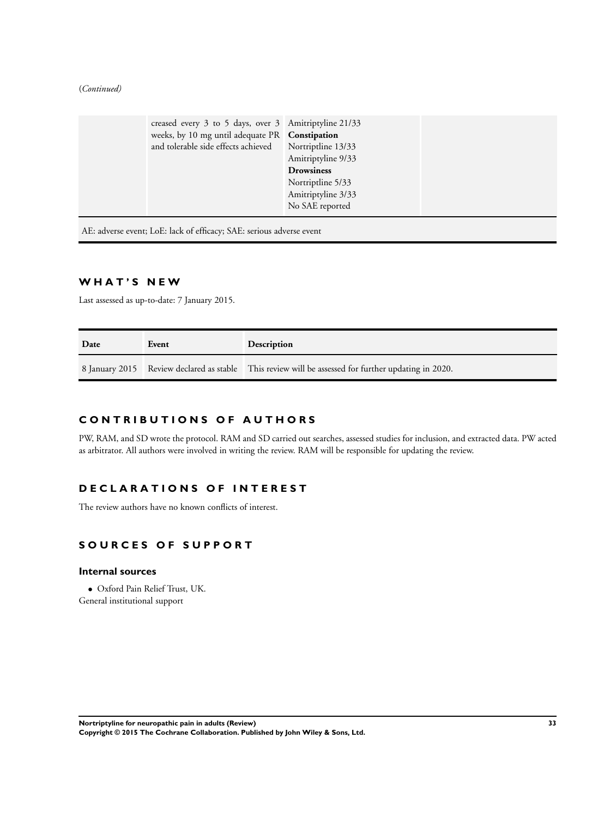| creased every 3 to 5 days, over 3 Amitriptyline 21/33<br>weeks, by 10 mg until adequate PR Constipation<br>and tolerable side effects achieved<br>Nortriptline 13/33<br>Amitriptyline 9/33<br><b>Drowsiness</b><br>Nortriptline 5/33<br>Amitriptyline 3/33<br>No SAE reported |  |
|-------------------------------------------------------------------------------------------------------------------------------------------------------------------------------------------------------------------------------------------------------------------------------|--|
|-------------------------------------------------------------------------------------------------------------------------------------------------------------------------------------------------------------------------------------------------------------------------------|--|

AE: adverse event; LoE: lack of efficacy; SAE: serious adverse event

# **W H A T ' S N E W**

Last assessed as up-to-date: 7 January 2015.

| Date | Event | <b>Description</b>                                                                                  |
|------|-------|-----------------------------------------------------------------------------------------------------|
|      |       | 8 January 2015 Review declared as stable This review will be assessed for further updating in 2020. |

# **C O N T R I B U T I O N S O F A U T H O R S**

PW, RAM, and SD wrote the protocol. RAM and SD carried out searches, assessed studies for inclusion, and extracted data. PW acted as arbitrator. All authors were involved in writing the review. RAM will be responsible for updating the review.

# **D E C L A R A T I O N S O F I N T E R E S T**

The review authors have no known conflicts of interest.

# **S O U R C E S O F S U P P O R T**

## **Internal sources**

• Oxford Pain Relief Trust, UK. General institutional support